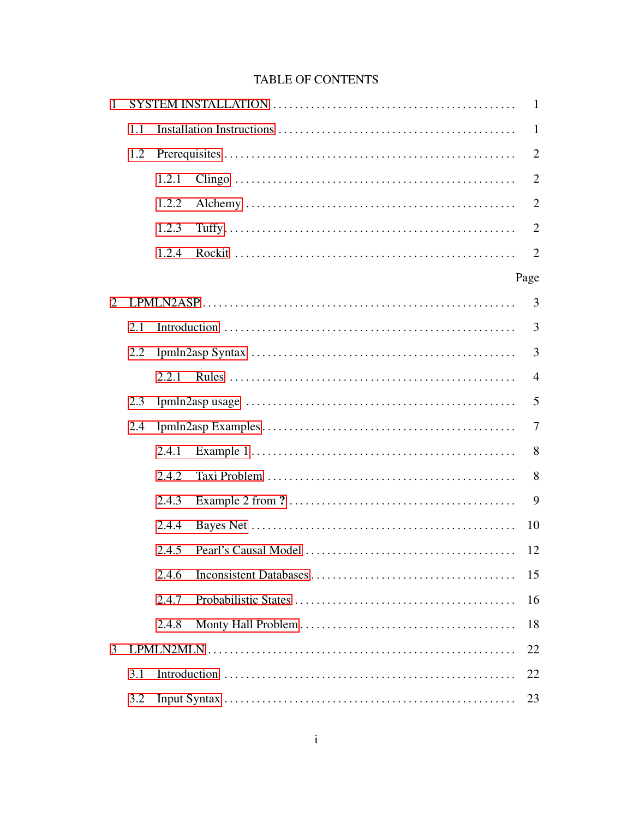# TABLE OF CONTENTS

| 1                     |     | $\mathbf{1}$ |              |                |  |  |  |  |
|-----------------------|-----|--------------|--------------|----------------|--|--|--|--|
|                       | 1.1 |              | $\mathbf{1}$ |                |  |  |  |  |
|                       | 1.2 |              |              |                |  |  |  |  |
|                       |     | 1.2.1        |              | $\overline{2}$ |  |  |  |  |
|                       |     | 1.2.2        |              | $\overline{2}$ |  |  |  |  |
|                       |     | 1.2.3        |              | $\overline{2}$ |  |  |  |  |
|                       |     | 1.2.4        |              | $\overline{2}$ |  |  |  |  |
|                       |     |              |              | Page           |  |  |  |  |
| $\mathcal{D}_{\cdot}$ |     |              |              | 3              |  |  |  |  |
|                       | 2.1 |              |              | 3              |  |  |  |  |
|                       | 2.2 |              |              |                |  |  |  |  |
|                       |     | 2.2.1        |              | $\overline{4}$ |  |  |  |  |
|                       | 2.3 |              |              | 5              |  |  |  |  |
|                       | 2.4 |              |              |                |  |  |  |  |
|                       |     | 2.4.1        |              | 8              |  |  |  |  |
|                       |     | 2.4.2        |              | 8              |  |  |  |  |
|                       |     | 2.4.3        |              | 9              |  |  |  |  |
|                       |     | 2.4.4        |              | 10             |  |  |  |  |
|                       |     | 2.4.5        |              | 12             |  |  |  |  |
|                       |     | 2.4.6        |              | 15             |  |  |  |  |
|                       |     | 2.4.7        |              | 16             |  |  |  |  |
|                       |     | 2.4.8        |              | 18             |  |  |  |  |
| 3                     |     |              |              |                |  |  |  |  |
|                       | 3.1 | 22           |              |                |  |  |  |  |
|                       | 3.2 | 23           |              |                |  |  |  |  |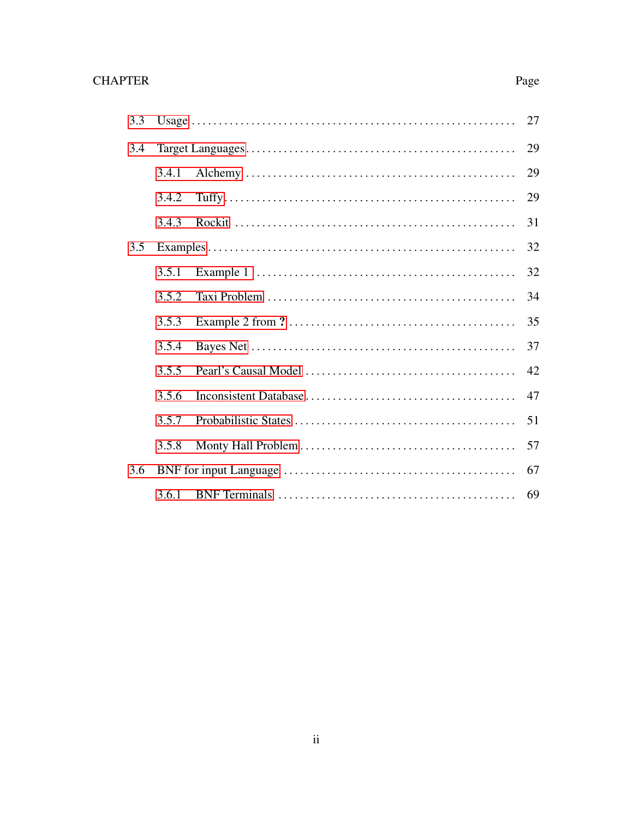| 3.3 | 27    |  |    |  |  |  |
|-----|-------|--|----|--|--|--|
| 3.4 | 29    |  |    |  |  |  |
|     | 3.4.1 |  | 29 |  |  |  |
|     | 3.4.2 |  | 29 |  |  |  |
|     | 3.4.3 |  | 31 |  |  |  |
| 3.5 |       |  | 32 |  |  |  |
|     | 3.5.1 |  | 32 |  |  |  |
|     | 3.5.2 |  | 34 |  |  |  |
|     | 3.5.3 |  | 35 |  |  |  |
|     | 3.5.4 |  | 37 |  |  |  |
|     | 3.5.5 |  | 42 |  |  |  |
|     | 3.5.6 |  | 47 |  |  |  |
|     | 3.5.7 |  | 51 |  |  |  |
|     | 3.5.8 |  | 57 |  |  |  |
| 3.6 |       |  | 67 |  |  |  |
|     |       |  | 69 |  |  |  |

# Page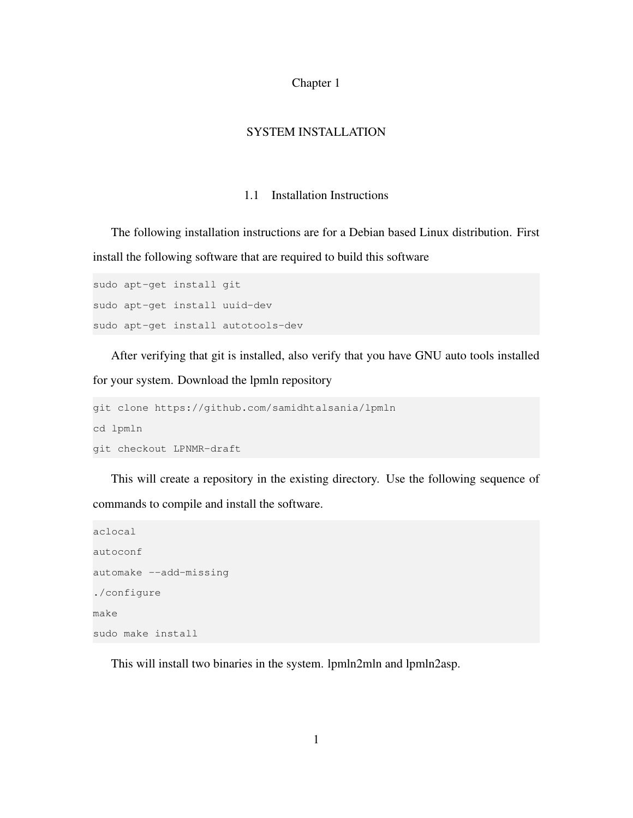#### Chapter 1

# SYSTEM INSTALLATION

#### 1.1 Installation Instructions

<span id="page-2-1"></span><span id="page-2-0"></span>The following installation instructions are for a Debian based Linux distribution. First install the following software that are required to build this software

```
sudo apt-get install git
sudo apt-get install uuid-dev
sudo apt-get install autotools-dev
```
After verifying that git is installed, also verify that you have GNU auto tools installed for your system. Download the lpmln repository

```
git clone https://github.com/samidhtalsania/lpmln
cd lpmln
git checkout LPNMR-draft
```
This will create a repository in the existing directory. Use the following sequence of commands to compile and install the software.

```
aclocal
autoconf
automake --add-missing
./configure
make
sudo make install
```
This will install two binaries in the system. lpmln2mln and lpmln2asp.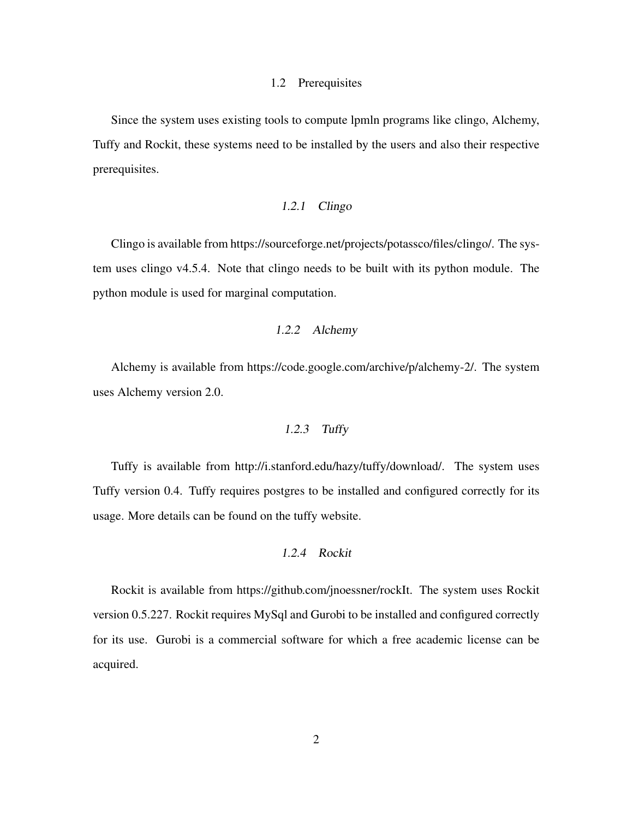#### 1.2 Prerequisites

<span id="page-3-0"></span>Since the system uses existing tools to compute lpmln programs like clingo, Alchemy, Tuffy and Rockit, these systems need to be installed by the users and also their respective prerequisites.

#### 1.2.1 Clingo

<span id="page-3-1"></span>Clingo is available from https://sourceforge.net/projects/potassco/files/clingo/. The system uses clingo v4.5.4. Note that clingo needs to be built with its python module. The python module is used for marginal computation.

#### 1.2.2 Alchemy

<span id="page-3-3"></span><span id="page-3-2"></span>Alchemy is available from https://code.google.com/archive/p/alchemy-2/. The system uses Alchemy version 2.0.

#### 1.2.3 Tuffy

Tuffy is available from http://i.stanford.edu/hazy/tuffy/download/. The system uses Tuffy version 0.4. Tuffy requires postgres to be installed and configured correctly for its usage. More details can be found on the tuffy website.

# 1.2.4 Rockit

<span id="page-3-4"></span>Rockit is available from https://github.com/jnoessner/rockIt. The system uses Rockit version 0.5.227. Rockit requires MySql and Gurobi to be installed and configured correctly for its use. Gurobi is a commercial software for which a free academic license can be acquired.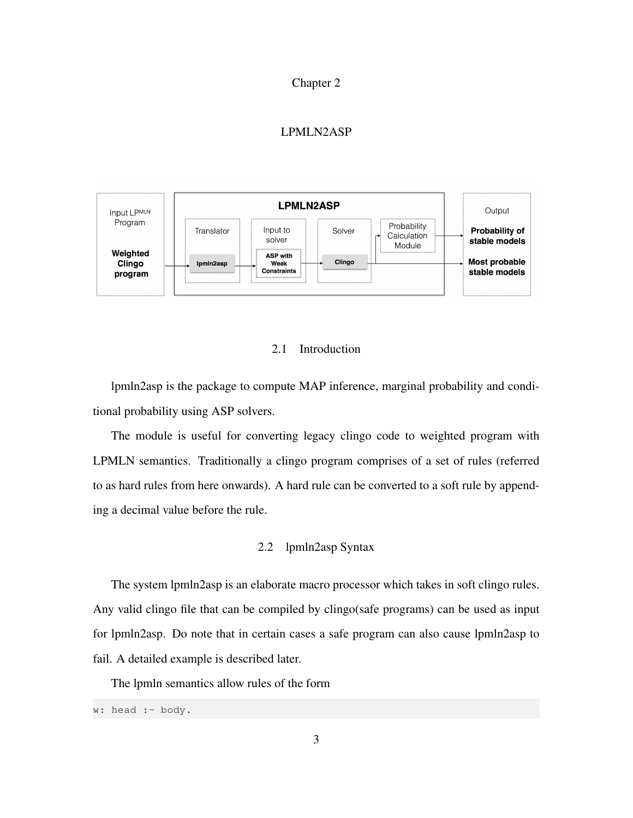#### Chapter 2

#### LPMLN2ASP

<span id="page-4-0"></span>

## 2.1 Introduction

<span id="page-4-1"></span>lpmln2asp is the package to compute MAP inference, marginal probability and conditional probability using ASP solvers.

The module is useful for converting legacy clingo code to weighted program with LPMLN semantics. Traditionally a clingo program comprises of a set of rules (referred to as hard rules from here onwards). A hard rule can be converted to a soft rule by appending a decimal value before the rule.

## 2.2 lpmln2asp Syntax

<span id="page-4-2"></span>The system lpmln2asp is an elaborate macro processor which takes in soft clingo rules. Any valid clingo file that can be compiled by clingo(safe programs) can be used as input for lpmln2asp. Do note that in certain cases a safe program can also cause lpmln2asp to fail. A detailed example is described later.

The lpmln semantics allow rules of the form

w: head :- body.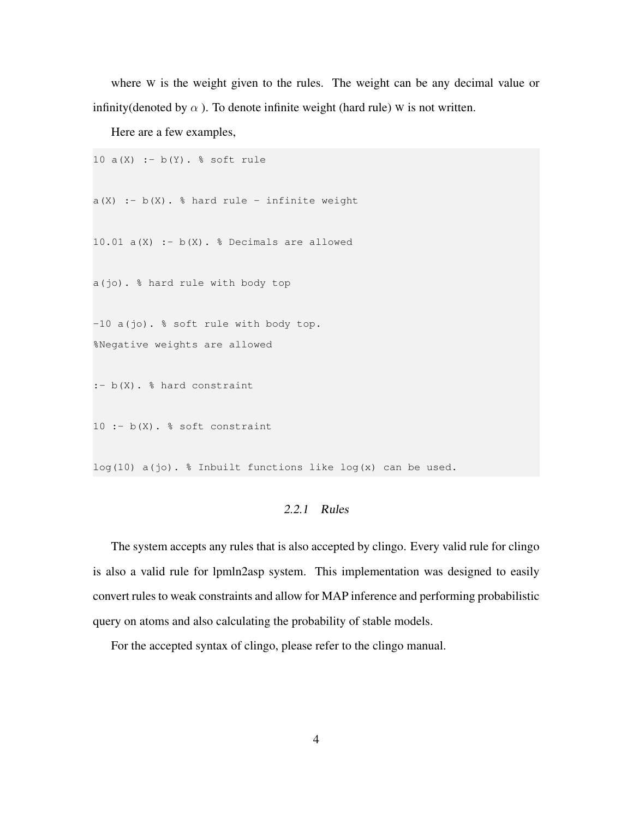where W is the weight given to the rules. The weight can be any decimal value or infinity(denoted by  $\alpha$ ). To denote infinite weight (hard rule) W is not written.

Here are a few examples,

```
10 a(X) :- b(Y). \frac{6}{5} soft rule
a(X) :- b(X). % hard rule - infinite weight
10.01 a(X) :- b(X). % Decimals are allowed
a(jo). % hard rule with body top
-10 a(jo). % soft rule with body top.
%Negative weights are allowed
:- b(X). % hard constraint
10 : - b(X). \frac{1}{6} soft constraint
```
<span id="page-5-0"></span> $log(10)$  a(jo). % Inbuilt functions like  $log(x)$  can be used.

#### 2.2.1 Rules

The system accepts any rules that is also accepted by clingo. Every valid rule for clingo is also a valid rule for lpmln2asp system. This implementation was designed to easily convert rules to weak constraints and allow for MAP inference and performing probabilistic query on atoms and also calculating the probability of stable models.

For the accepted syntax of clingo, please refer to the clingo manual.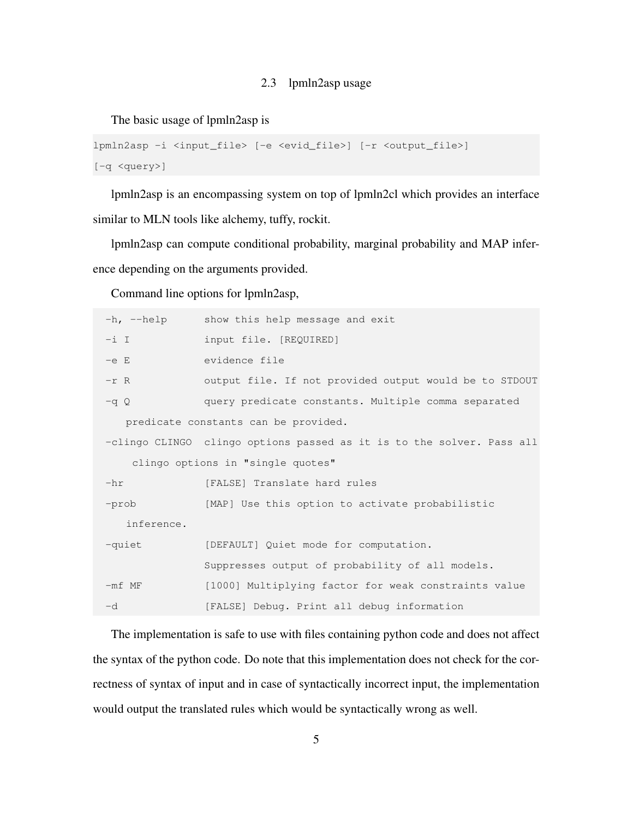#### 2.3 lpmln2asp usage

<span id="page-6-0"></span>The basic usage of lpmln2asp is

```
lpmln2asp -i <input_file> [-e <evid_file>] [-r <output_file>]
[-q <query>]
```
lpmln2asp is an encompassing system on top of lpmln2cl which provides an interface similar to MLN tools like alchemy, tuffy, rockit.

lpmln2asp can compute conditional probability, marginal probability and MAP inference depending on the arguments provided.

Command line options for lpmln2asp,

| show this help message and exit<br>$-h$ , $-\text{help}$              |  |  |  |  |  |
|-----------------------------------------------------------------------|--|--|--|--|--|
| input file. [REQUIRED]                                                |  |  |  |  |  |
| evidence file                                                         |  |  |  |  |  |
| output file. If not provided output would be to STDOUT                |  |  |  |  |  |
| query predicate constants. Multiple comma separated                   |  |  |  |  |  |
| predicate constants can be provided.                                  |  |  |  |  |  |
| -clingo CLINGO clingo options passed as it is to the solver. Pass all |  |  |  |  |  |
| clingo options in "single quotes"                                     |  |  |  |  |  |
| [FALSE] Translate hard rules                                          |  |  |  |  |  |
| [MAP] Use this option to activate probabilistic                       |  |  |  |  |  |
|                                                                       |  |  |  |  |  |
| [DEFAULT] Quiet mode for computation.                                 |  |  |  |  |  |
| Suppresses output of probability of all models.                       |  |  |  |  |  |
| [1000] Multiplying factor for weak constraints value                  |  |  |  |  |  |
| [FALSE] Debug. Print all debug information                            |  |  |  |  |  |
|                                                                       |  |  |  |  |  |

The implementation is safe to use with files containing python code and does not affect the syntax of the python code. Do note that this implementation does not check for the correctness of syntax of input and in case of syntactically incorrect input, the implementation would output the translated rules which would be syntactically wrong as well.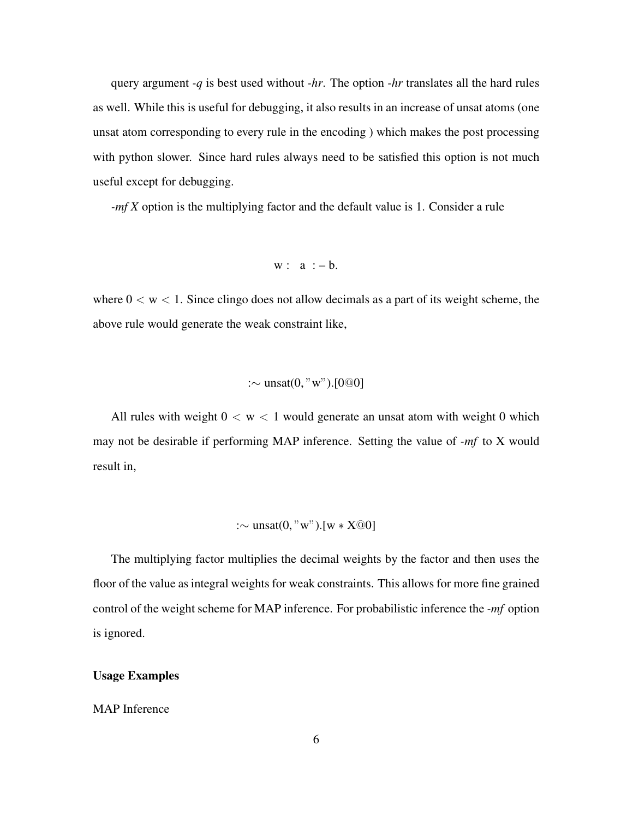query argument *-q* is best used without *-hr*. The option *-hr* translates all the hard rules as well. While this is useful for debugging, it also results in an increase of unsat atoms (one unsat atom corresponding to every rule in the encoding ) which makes the post processing with python slower. Since hard rules always need to be satisfied this option is not much useful except for debugging.

*-mf X* option is the multiplying factor and the default value is 1. Consider a rule

$$
w: a := b.
$$

where  $0 < w < 1$ . Since clingo does not allow decimals as a part of its weight scheme, the above rule would generate the weak constraint like,

# :∼ unsat(0, "w").[0@0]

All rules with weight  $0 < w < 1$  would generate an unsat atom with weight 0 which may not be desirable if performing MAP inference. Setting the value of *-mf* to X would result in,

$$
:\sim \text{unsat}(0, "w").[w * X@0]
$$

The multiplying factor multiplies the decimal weights by the factor and then uses the floor of the value as integral weights for weak constraints. This allows for more fine grained control of the weight scheme for MAP inference. For probabilistic inference the *-mf* option is ignored.

#### Usage Examples

#### MAP Inference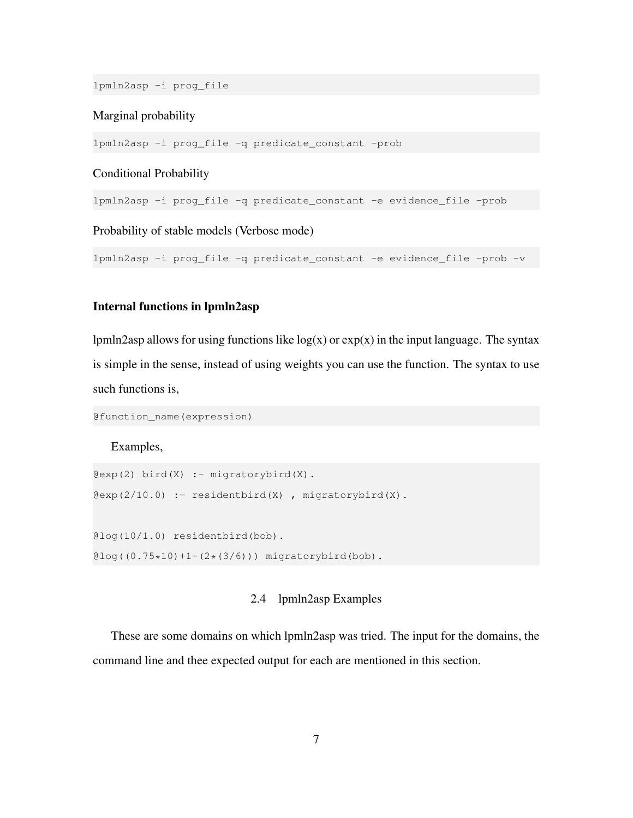lpmln2asp -i prog\_file

#### Marginal probability

lpmln2asp -i prog\_file -q predicate\_constant -prob

#### Conditional Probability

lpmln2asp -i prog\_file -q predicate\_constant -e evidence\_file -prob

Probability of stable models (Verbose mode)

lpmln2asp -i prog\_file -q predicate\_constant -e evidence\_file -prob -v

# Internal functions in lpmln2asp

lpmln2asp allows for using functions like  $log(x)$  or  $exp(x)$  in the input language. The syntax is simple in the sense, instead of using weights you can use the function. The syntax to use such functions is,

@function\_name(expression)

Examples,

```
Qexp(2) bird(X) :- migratorybird(X).
Qexp(2/10.0) :- residentbird(X), migratorybird(X).
@log(10/1.0) residentbird(bob).
\ell \log ((0.75*10)+1-(2*(3/6))) migratorybird(bob).
```
# 2.4 lpmln2asp Examples

<span id="page-8-0"></span>These are some domains on which lpmln2asp was tried. The input for the domains, the command line and thee expected output for each are mentioned in this section.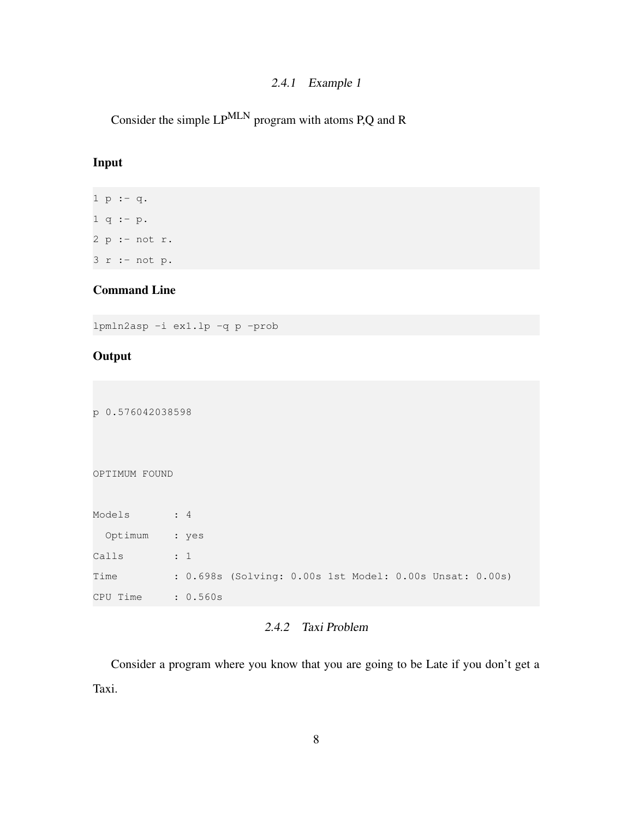# 2.4.1 Example 1

<span id="page-9-0"></span>Consider the simple LPMLN program with atoms P,Q and R

# Input

1 p :- q.  $1 q := p.$ 2 p :- not r. 3 r :- not p.

# Command Line

lpmln2asp -i ex1.lp -q p -prob

# **Output**

p 0.576042038598 OPTIMUM FOUND Models : 4 Optimum : yes Calls : 1 Time : 0.698s (Solving: 0.00s 1st Model: 0.00s Unsat: 0.00s) CPU Time : 0.560s

# 2.4.2 Taxi Problem

<span id="page-9-1"></span>Consider a program where you know that you are going to be Late if you don't get a Taxi.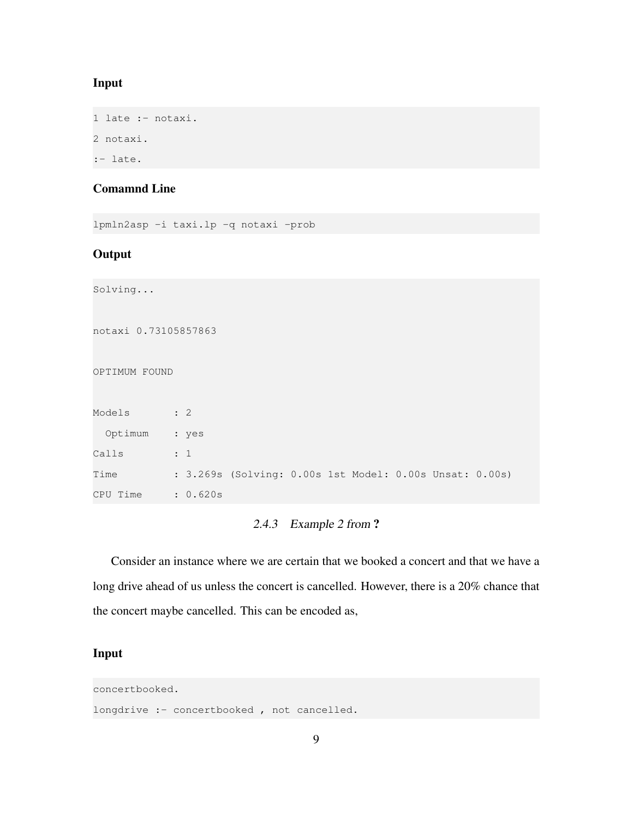#### Input

1 late :- notaxi. 2 notaxi. :- late.

# Comamnd Line

lpmln2asp -i taxi.lp -q notaxi -prob

# **Output**

```
Solving...
notaxi 0.73105857863
OPTIMUM FOUND
Models : 2
 Optimum : yes
Calls : 1
Time : 3.269s (Solving: 0.00s 1st Model: 0.00s Unsat: 0.00s)
CPU Time : 0.620s
```
# 2.4.3 Example 2 from ?

<span id="page-10-0"></span>Consider an instance where we are certain that we booked a concert and that we have a long drive ahead of us unless the concert is cancelled. However, there is a 20% chance that the concert maybe cancelled. This can be encoded as,

# Input

concertbooked.

longdrive :- concertbooked, not cancelled.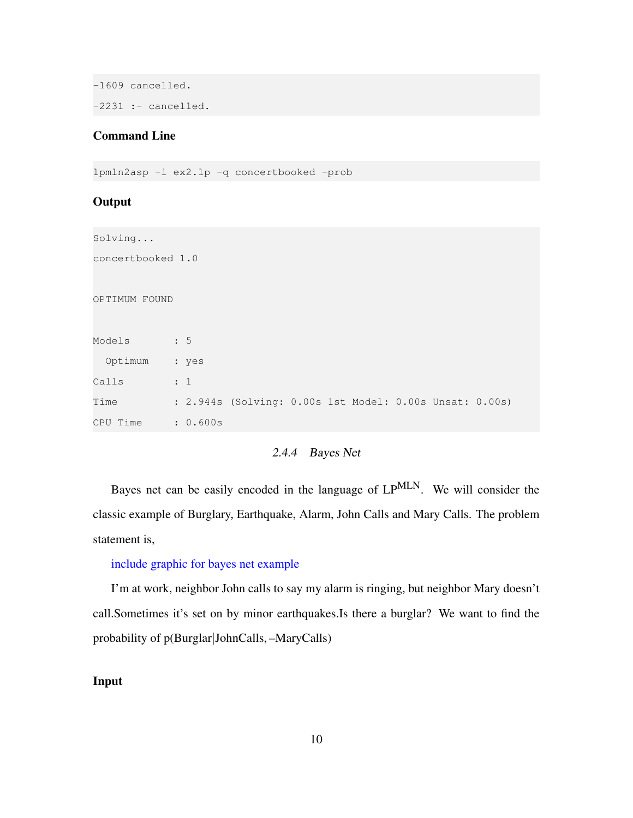```
-1609 cancelled.
-2231 :- cancelled.
```
#### Command Line

```
lpmln2asp -i ex2.lp -q concertbooked -prob
```
#### **Output**

Solving... concertbooked 1.0 OPTIMUM FOUND Models : 5 Optimum : yes Calls : 1 Time : 2.944s (Solving: 0.00s 1st Model: 0.00s Unsat: 0.00s) CPU Time : 0.600s

# 2.4.4 Bayes Net

<span id="page-11-0"></span>Bayes net can be easily encoded in the language of LPMLN. We will consider the classic example of Burglary, Earthquake, Alarm, John Calls and Mary Calls. The problem statement is,

#### include graphic for bayes net example

I'm at work, neighbor John calls to say my alarm is ringing, but neighbor Mary doesn't call.Sometimes it's set on by minor earthquakes.Is there a burglar? We want to find the probability of p(Burglar|JohnCalls, –MaryCalls)

## Input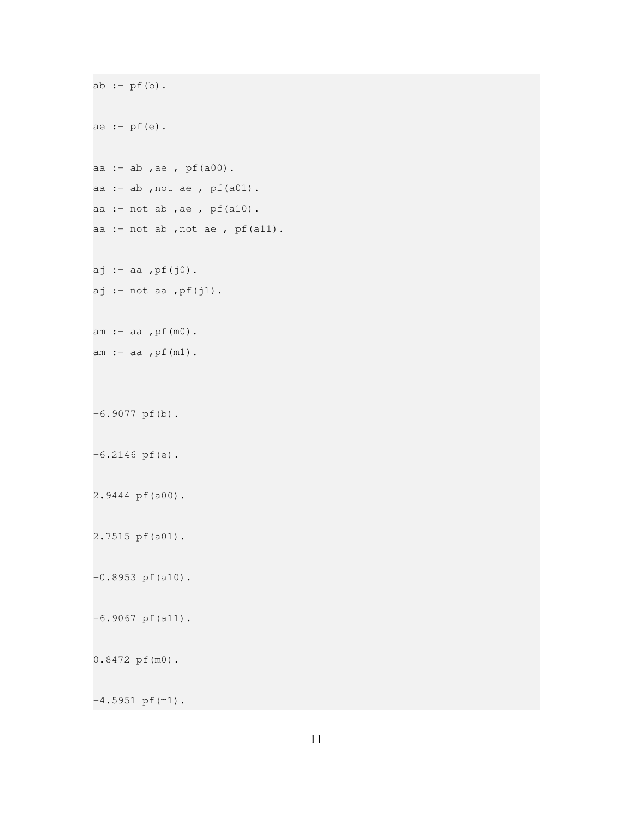```
ab := pf(b).
ae : - pf(e).
aa :- ab ,ae , pf(a00).
aa :- ab ,not ae , pf(a01).
aa :- not ab, ae, pf(a10).
aa :- not ab ,not ae , pf(a11).
aj :- aa ,pf(j0).
aj :- not aa ,pf(j1).
am :- aa ,pf(m0).
am :- aa ,pf(m1).
-6.9077 pf(b).
-6.2146 pf(e).
2.9444 pf(a00).
2.7515 pf(a01).
-0.8953 pf(a10).
-6.9067 pf(a11).
0.8472 pf(m0).
-4.5951 pf(m1).
```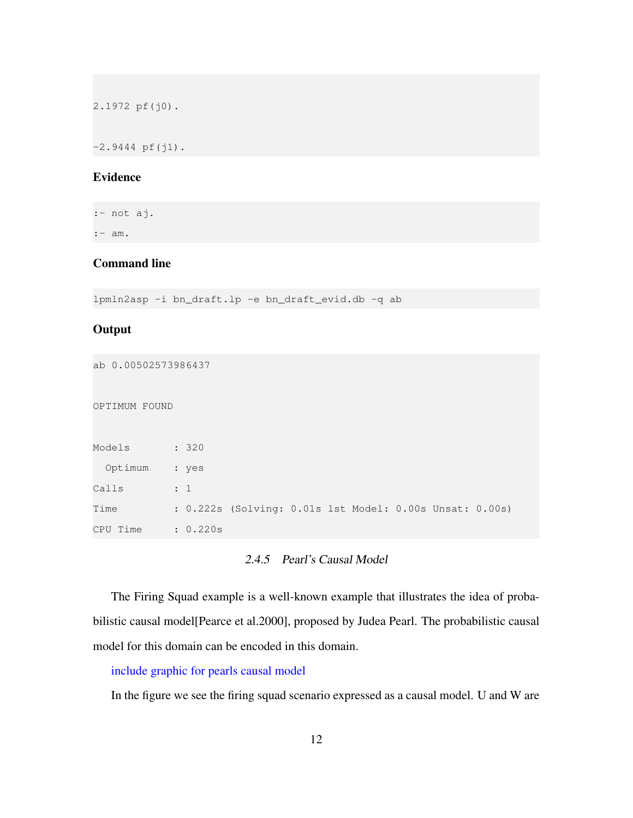2.1972 pf(j0).

 $-2.9444$  pf(j1).

# Evidence

:- not aj.

:- am.

# Command line

lpmln2asp -i bn\_draft.lp -e bn\_draft\_evid.db -q ab

#### **Output**

```
ab 0.00502573986437
OPTIMUM FOUND
Models : 320
 Optimum : yes
Calls : 1
Time : 0.222s (Solving: 0.01s 1st Model: 0.00s Unsat: 0.00s)
CPU Time : 0.220s
```
# 2.4.5 Pearl's Causal Model

<span id="page-13-0"></span>The Firing Squad example is a well-known example that illustrates the idea of probabilistic causal model[Pearce et al.2000], proposed by Judea Pearl. The probabilistic causal model for this domain can be encoded in this domain.

include graphic for pearls causal model

In the figure we see the firing squad scenario expressed as a causal model. U and W are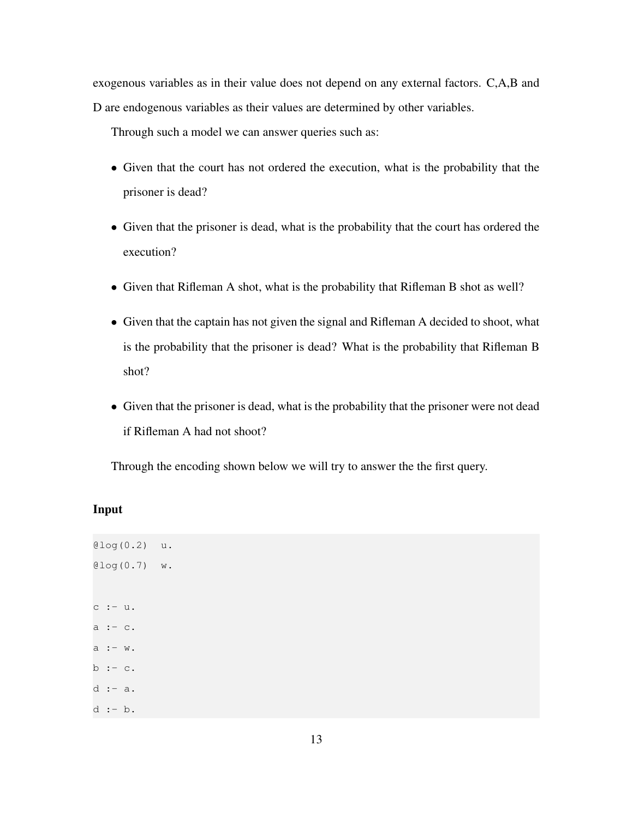exogenous variables as in their value does not depend on any external factors. C,A,B and D are endogenous variables as their values are determined by other variables.

Through such a model we can answer queries such as:

- Given that the court has not ordered the execution, what is the probability that the prisoner is dead?
- Given that the prisoner is dead, what is the probability that the court has ordered the execution?
- Given that Rifleman A shot, what is the probability that Rifleman B shot as well?
- Given that the captain has not given the signal and Rifleman A decided to shoot, what is the probability that the prisoner is dead? What is the probability that Rifleman B shot?
- Given that the prisoner is dead, what is the probability that the prisoner were not dead if Rifleman A had not shoot?

Through the encoding shown below we will try to answer the the first query.

# Input

```
@log(0.2) u.
@log(0.7) w.
c :- u.
a := c.a : - w.
b := c.
d := a.
d :- b.
```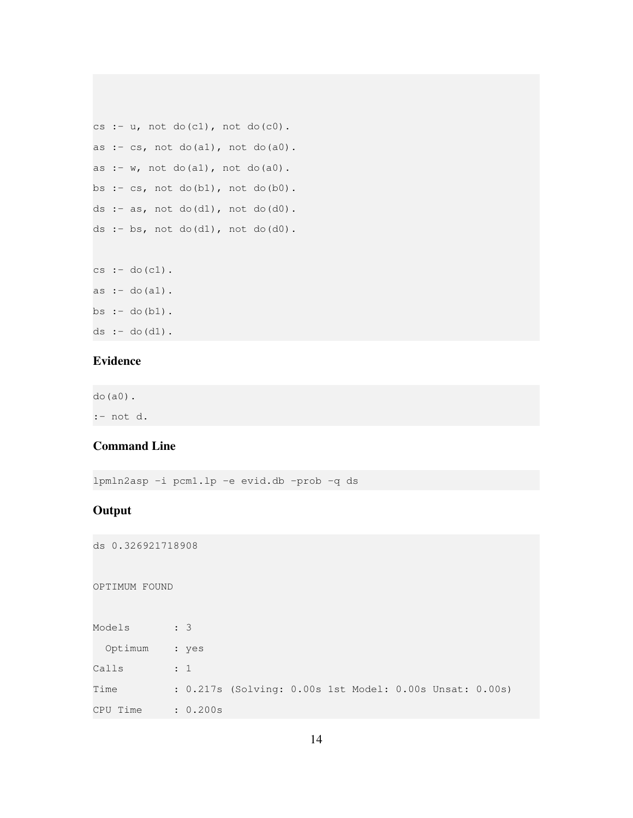```
cs :- u, not do(c1), not do(c0).
as : cs, not do(a1), not do(a0).
as :- w, not do(a1), not do(a0).bs :- cs, not do(b1), not do(b0).
ds :- as, not do(d1), not do(d0).
ds :- bs, not do(d1), not do(d0).
```
 $cs := do(cl)$ . as  $:-$  do(a1).  $bs$  :- do(b1). ds  $:-$  do(d1).

# Evidence

do(a0). :- not d.

# Command Line

lpmln2asp -i pcm1.lp -e evid.db -prob -q ds

## **Output**

ds 0.326921718908

OPTIMUM FOUND

| Models        | $\therefore$ 3 |                                                         |  |  |  |
|---------------|----------------|---------------------------------------------------------|--|--|--|
| Optimum : yes |                |                                                         |  |  |  |
| Calls         | $\cdot$ 1      |                                                         |  |  |  |
| Time          |                | : 0.217s (Solving: 0.00s 1st Model: 0.00s Unsat: 0.00s) |  |  |  |
| CPU Time      | : 0.200s       |                                                         |  |  |  |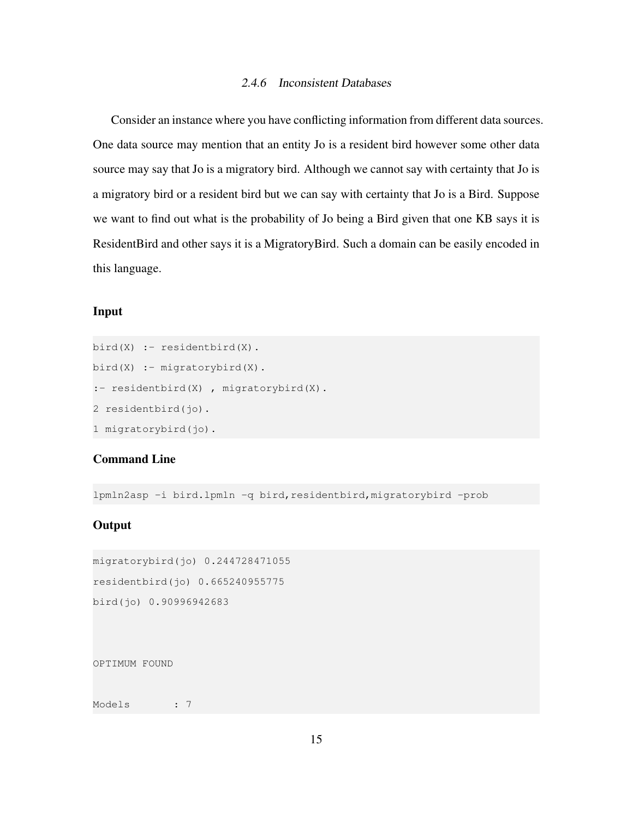#### 2.4.6 Inconsistent Databases

<span id="page-16-0"></span>Consider an instance where you have conflicting information from different data sources. One data source may mention that an entity Jo is a resident bird however some other data source may say that Jo is a migratory bird. Although we cannot say with certainty that Jo is a migratory bird or a resident bird but we can say with certainty that Jo is a Bird. Suppose we want to find out what is the probability of Jo being a Bird given that one KB says it is ResidentBird and other says it is a MigratoryBird. Such a domain can be easily encoded in this language.

#### Input

```
bird(X) :- residentbird(X).
bird(X) :- migratorybird(X).
:- residentbird(X) , migratorybird(X).
2 residentbird(jo).
1 migratorybird(jo).
```
## Command Line

lpmln2asp -i bird.lpmln -q bird, residentbird, migratorybird -prob

## **Output**

```
migratorybird(jo) 0.244728471055
residentbird(jo) 0.665240955775
bird(jo) 0.90996942683
```
OPTIMUM FOUND

Models : 7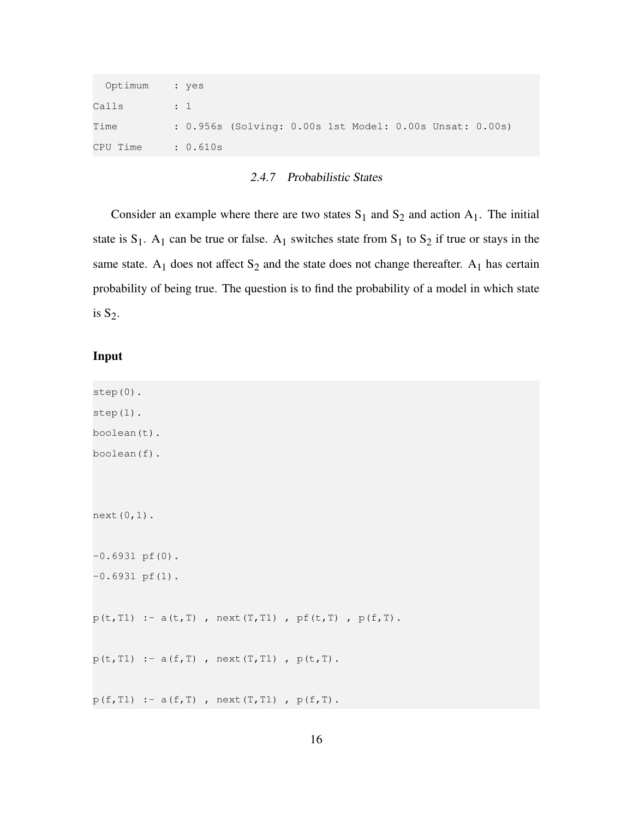| Optimum : yes |                                                         |
|---------------|---------------------------------------------------------|
| Calls         | $\overline{\phantom{a}}$ : 1 $\overline{\phantom{a}}$   |
| Time          | : 0.956s (Solving: 0.00s 1st Model: 0.00s Unsat: 0.00s) |
| CPU Time      | $\therefore$ 0.610s                                     |

## 2.4.7 Probabilistic States

<span id="page-17-0"></span>Consider an example where there are two states  $S_1$  and  $S_2$  and action  $A_1$ . The initial state is  $S_1$ . A<sub>1</sub> can be true or false. A<sub>1</sub> switches state from  $S_1$  to  $S_2$  if true or stays in the same state.  $A_1$  does not affect  $S_2$  and the state does not change thereafter.  $A_1$  has certain probability of being true. The question is to find the probability of a model in which state is  $S_2$ .

#### Input

```
step(0).
step(1).
boolean(t).
boolean(f).
next(0,1).
-0.6931 pf(0).
-0.6931 pf(1).
p(t, T1) :- a(t, T) , next(T,T1) , pf(t, T) , p(f, T).
p(t, T1) :- a(f, T), next(T, T1), p(t, T).
p(f, T1) :- a(f, T) , next(T, T1) , p(f, T).
```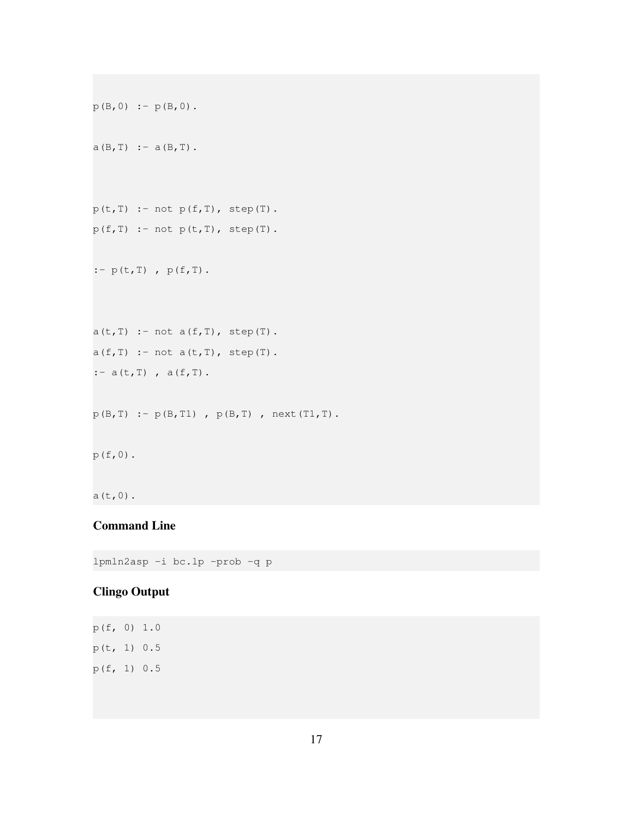```
p(B, 0) := p(B, 0).a(B,T) : - a(B,T).
p(t, T) :- not p(f, T), step(T).
p(f,T) :- not p(t,T), step(T).
:- p(t, T), p(f, T).
a(t, T) :- not a(f, T), step(T).
a(f,T) :- not a(t,T), step(T).
:- a(t, T), a(f, T).
p(B, T) := p(B, T1), p(B, T), next(T1, T).
p(f, 0).
a(t,0).
```
# Command Line

lpmln2asp -i bc.lp -prob -q p

# Clingo Output

p(f, 0) 1.0  $p(t, 1) 0.5$ p(f, 1) 0.5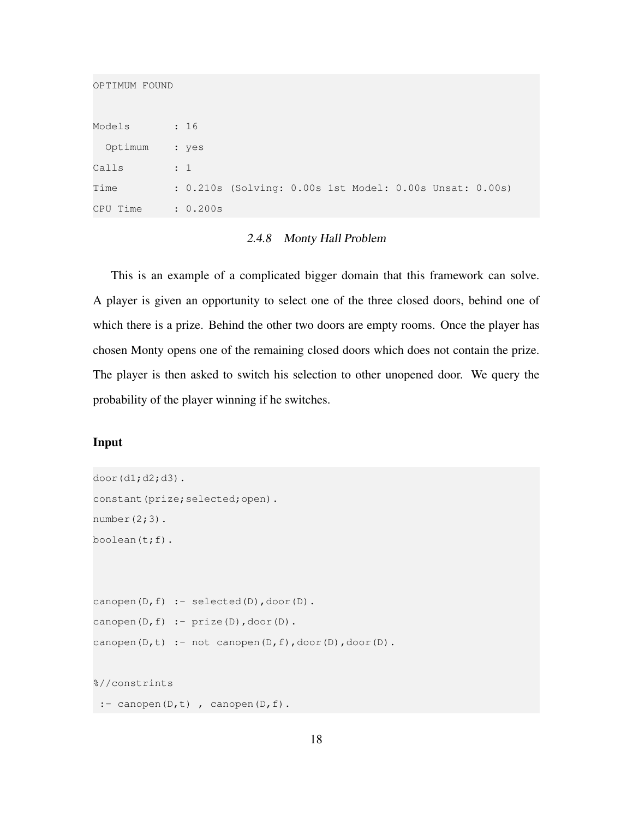OPTIMUM FOUND

| Models   | : 16                                                    |
|----------|---------------------------------------------------------|
| Optimum  | : yes                                                   |
| Calls    | $\div$ 1                                                |
| Time     | : 0.210s (Solving: 0.00s 1st Model: 0.00s Unsat: 0.00s) |
| CPU Time | : 0.200s                                                |

### 2.4.8 Monty Hall Problem

<span id="page-19-0"></span>This is an example of a complicated bigger domain that this framework can solve. A player is given an opportunity to select one of the three closed doors, behind one of which there is a prize. Behind the other two doors are empty rooms. Once the player has chosen Monty opens one of the remaining closed doors which does not contain the prize. The player is then asked to switch his selection to other unopened door. We query the probability of the player winning if he switches.

# Input

```
door(d1;d2;d3).
constant(prize; selected; open).
number(2;3).
boolean(t;f).
canopen(D,f) :- selected(D), door(D).
canopen(D, f) :- prize(D), door(D).
canopen(D,t) :- not canopen(D,f),door(D),door(D).
%//constrints
 :- canopen(D,t), canopen(D,f).
```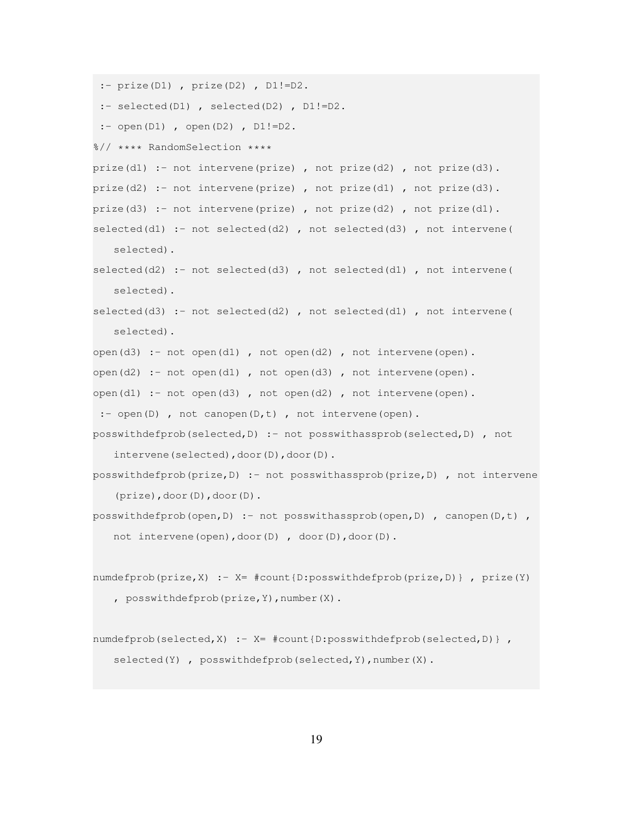```
:- prize(D1) , prize(D2) , D1!=D2.
 :- selected(D1) , selected(D2) , D1!=D2.
 :- open(D1), open(D2), DI!=D2.
%// **** RandomSelection ****
prize(d1) :- not intervene(prize), not prize(d2), not prize(d3).
prize(d2) :- not intervene(prize), not prize(d1), not prize(d3).
prize(d3) :- not intervene(prize), not prize(d2), not prize(d1).
selected(d1) :- not selected(d2) , not selected(d3) , not intervene(
   selected).
selected(d2) :- not selected(d3) , not selected(d1) , not intervene(
   selected).
selected(d3) :- not selected(d2) , not selected(d1) , not intervene(
   selected).
open(d3) :- not open(d1), not open(d2), not intervene(open).
open(d2) :- not open(d1) , not open(d3) , not intervene(open).
open(d1) :- not open(d3) , not open(d2) , not intervene(open).
 :- open(D), not canopen(D,t), not intervene(open).
posswithdefprob(selected,D) :- not posswithassprob(selected,D) , not
   intervene(selected),door(D),door(D).
posswithdefprob(prize,D) :- not posswithassprob(prize,D) , not intervene
   (prize),door(D),door(D).
posswithdefprob(open, D) :- not posswithassprob(open, D) , canopen(D,t) ,
   not intervene(open),door(D) , door(D),door(D).
numdefprob(prize,X) :- X= #count{D:posswithdefprob(prize,D)} , prize(Y)
   , posswithdefprob(prize,Y),number(X).
numdefprob(selected, X) :- X= #count(D:posswitchdefprob(selfD)),
   selected(Y), posswithdefprob(selected, Y), number(X).
```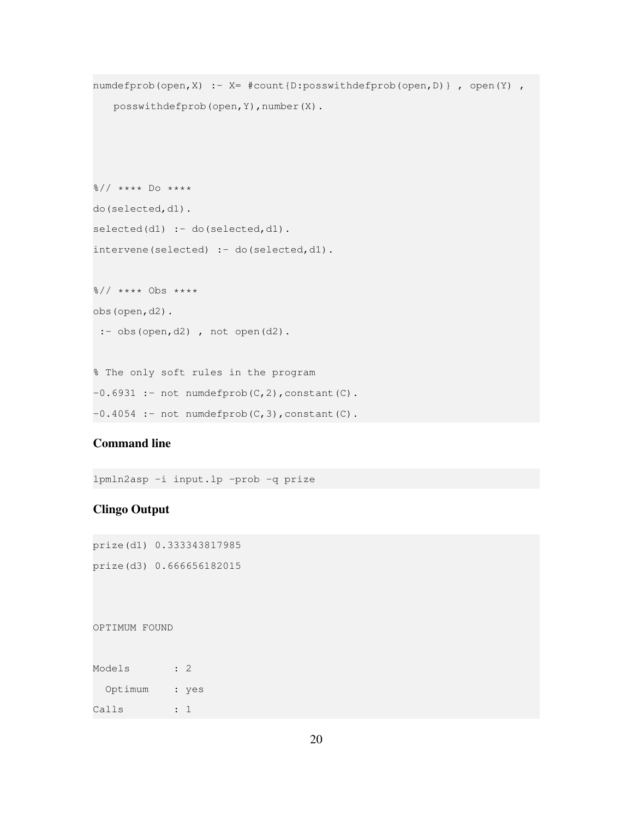```
numdefprob(open, X) :- X= #count{D:posswithdefprob(open, D) }, open(Y),
   posswithdefprob(open, Y), number(X).
%// **** Do ****
do(selected,d1).
selected(d1) :- do(Selected, d1).intervene(selected) :- do(selected,d1).
%// **** Obs ****
obs(open,d2).
 :- obs(open,d2), not open(d2).
% The only soft rules in the program
-0.6931 :- not numdefprob(C,2), constant(C).
-0.4054 :- not numdefprob(C,3), constant(C).
```
# Command line

lpmln2asp -i input.lp -prob -q prize

# Clingo Output

prize(d1) 0.333343817985 prize(d3) 0.666656182015

#### OPTIMUM FOUND

| Models  | : 2 |       |
|---------|-----|-------|
| Optimum |     | : yes |
| Calls   |     |       |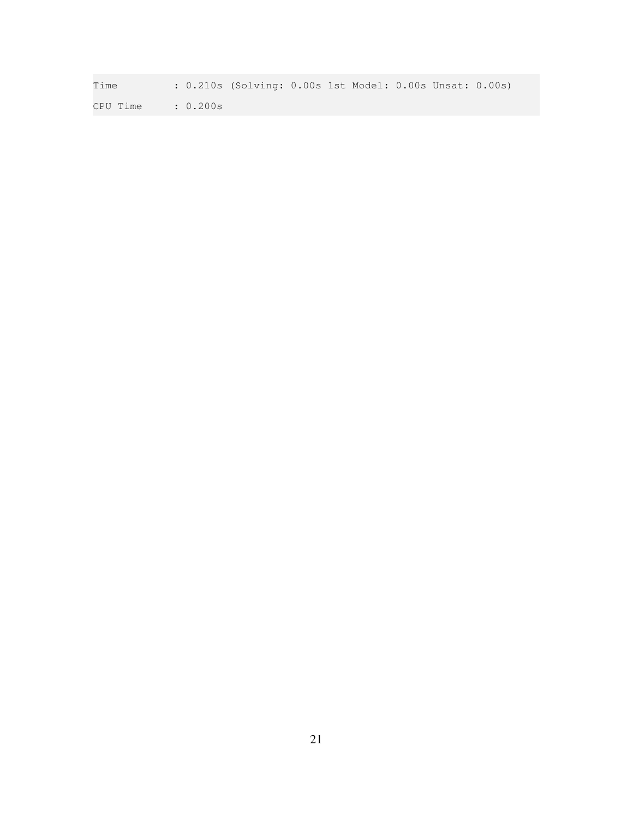Time : 0.210s (Solving: 0.00s 1st Model: 0.00s Unsat: 0.00s) CPU Time : 0.200s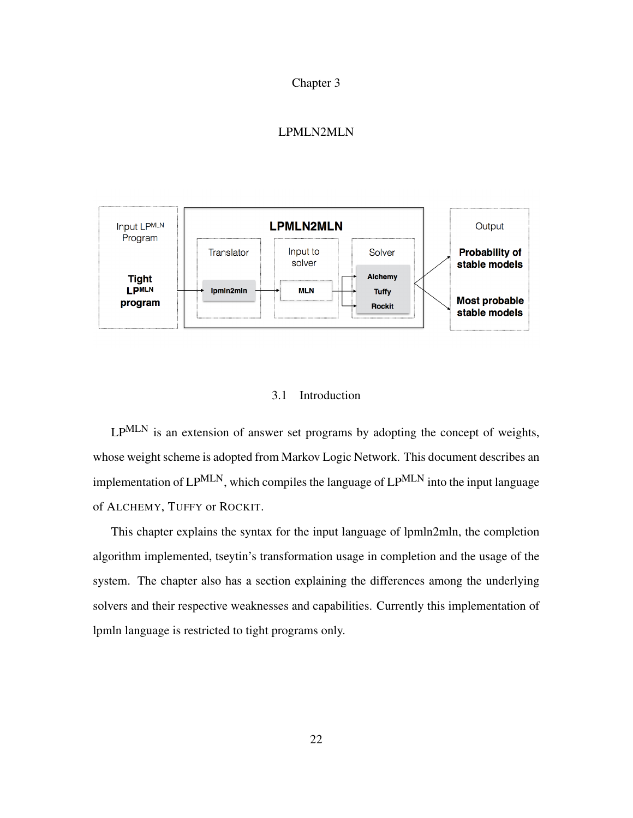#### Chapter 3

# LPMLN2MLN

<span id="page-23-0"></span>

#### 3.1 Introduction

<span id="page-23-1"></span>LP<sup>MLN</sup> is an extension of answer set programs by adopting the concept of weights, whose weight scheme is adopted from Markov Logic Network. This document describes an implementation of  $LP^{MLN}$ , which compiles the language of  $LP^{MLN}$  into the input language of ALCHEMY, TUFFY or ROCKIT.

This chapter explains the syntax for the input language of lpmln2mln, the completion algorithm implemented, tseytin's transformation usage in completion and the usage of the system. The chapter also has a section explaining the differences among the underlying solvers and their respective weaknesses and capabilities. Currently this implementation of lpmln language is restricted to tight programs only.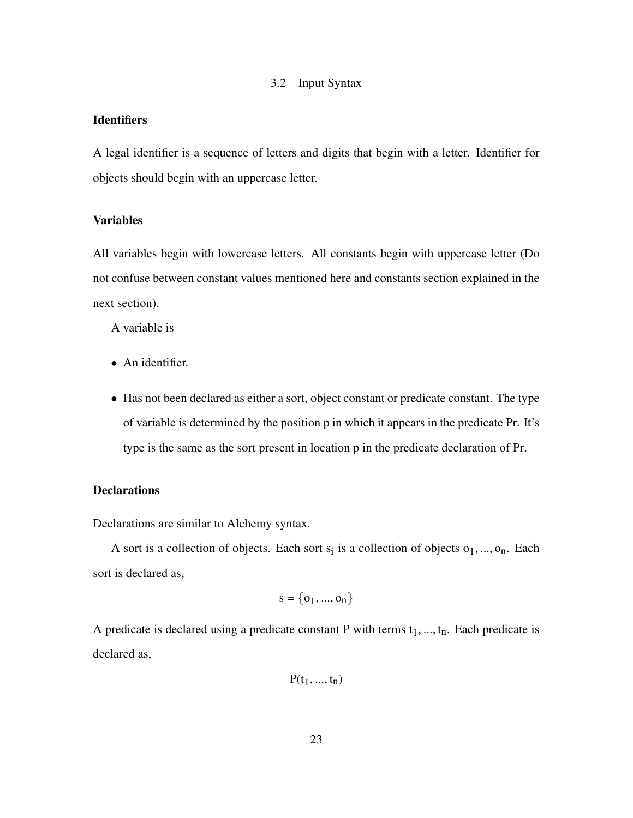### 3.2 Input Syntax

# <span id="page-24-0"></span>**Identifiers**

A legal identifier is a sequence of letters and digits that begin with a letter. Identifier for objects should begin with an uppercase letter.

#### Variables

All variables begin with lowercase letters. All constants begin with uppercase letter (Do not confuse between constant values mentioned here and constants section explained in the next section).

A variable is

- An identifier.
- Has not been declared as either a sort, object constant or predicate constant. The type of variable is determined by the position p in which it appears in the predicate Pr. It's type is the same as the sort present in location p in the predicate declaration of Pr.

## **Declarations**

Declarations are similar to Alchemy syntax.

A sort is a collection of objects. Each sort  $s_i$  is a collection of objects  $o_1, ..., o_n$ . Each sort is declared as,

$$
s = \{o_1, ..., o_n\}
$$

A predicate is declared using a predicate constant P with terms  $t_1, ..., t_n$ . Each predicate is declared as,

$$
P(t_1,\allowbreak ...,\allowbreak t_n)
$$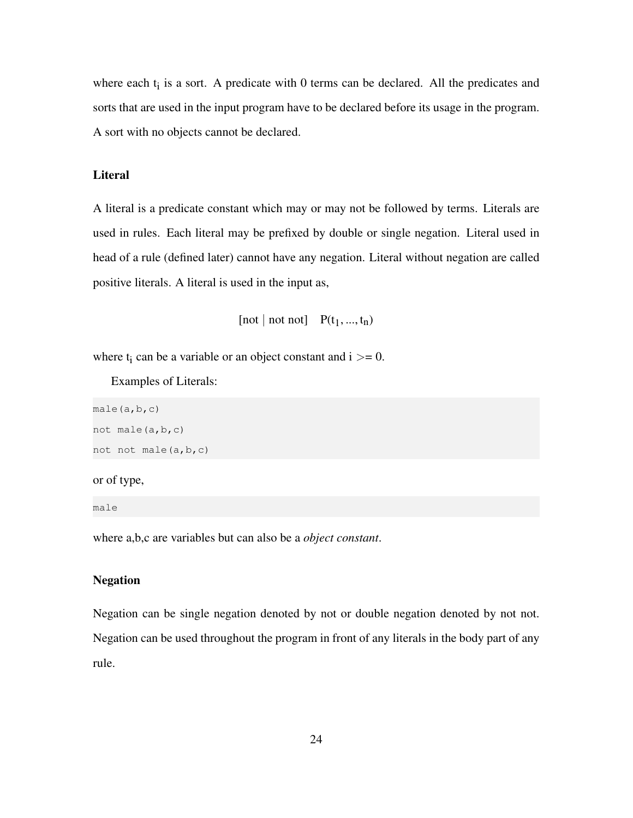where each  $t_i$  is a sort. A predicate with 0 terms can be declared. All the predicates and sorts that are used in the input program have to be declared before its usage in the program. A sort with no objects cannot be declared.

#### **Literal**

A literal is a predicate constant which may or may not be followed by terms. Literals are used in rules. Each literal may be prefixed by double or single negation. Literal used in head of a rule (defined later) cannot have any negation. Literal without negation are called positive literals. A literal is used in the input as,

[not | not not]  $P(t_1, ..., t_n)$ 

where  $t_i$  can be a variable or an object constant and  $i \geq 0$ .

Examples of Literals:

```
male(a,b,c)
not male(a,b,c)
not not male(a,b,c)
```
#### or of type,

male

where a,b,c are variables but can also be a *object constant*.

#### Negation

Negation can be single negation denoted by not or double negation denoted by not not. Negation can be used throughout the program in front of any literals in the body part of any rule.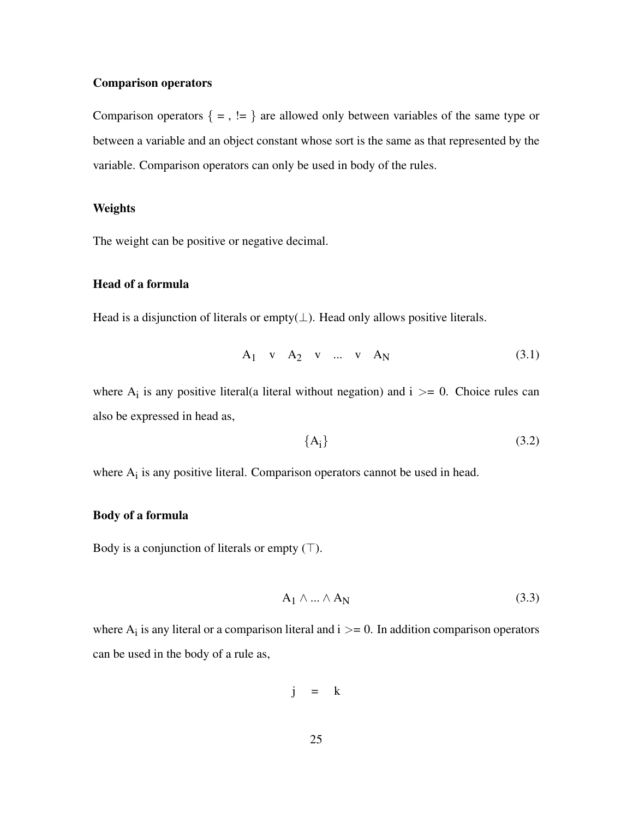#### Comparison operators

Comparison operators  $\{ = , := \}$  are allowed only between variables of the same type or between a variable and an object constant whose sort is the same as that represented by the variable. Comparison operators can only be used in body of the rules.

#### Weights

The weight can be positive or negative decimal.

## Head of a formula

Head is a disjunction of literals or empty $(\perp)$ . Head only allows positive literals.

$$
A_1 \quad v \quad A_2 \quad v \quad \dots \quad v \quad A_N \tag{3.1}
$$

where  $A_i$  is any positive literal(a literal without negation) and  $i \geq 0$ . Choice rules can also be expressed in head as,

$$
\{A_i\} \tag{3.2}
$$

where  $A_i$  is any positive literal. Comparison operators cannot be used in head.

#### Body of a formula

Body is a conjunction of literals or empty  $(T)$ .

$$
A_1 \wedge ... \wedge A_N \tag{3.3}
$$

where  $A_i$  is any literal or a comparison literal and  $i >= 0$ . In addition comparison operators can be used in the body of a rule as,

$$
j = k
$$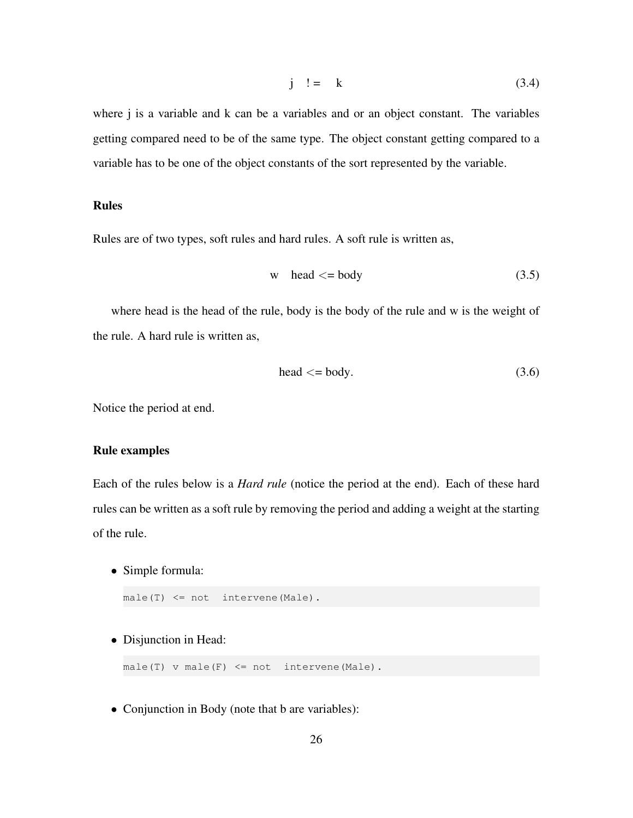$$
j \quad != \quad k \tag{3.4}
$$

where *j* is a variable and *k* can be a variables and or an object constant. The variables getting compared need to be of the same type. The object constant getting compared to a variable has to be one of the object constants of the sort represented by the variable.

# Rules

Rules are of two types, soft rules and hard rules. A soft rule is written as,

$$
w \quad \text{head} \leq \text{body} \tag{3.5}
$$

where head is the head of the rule, body is the body of the rule and w is the weight of the rule. A hard rule is written as,

$$
head <= body. \tag{3.6}
$$

Notice the period at end.

## Rule examples

Each of the rules below is a *Hard rule* (notice the period at the end). Each of these hard rules can be written as a soft rule by removing the period and adding a weight at the starting of the rule.

• Simple formula:

```
male(T) <= not intervene(Male).
```
• Disjunction in Head:

 $male(T)$  v male(F)  $\leq$  not intervene(Male).

• Conjunction in Body (note that b are variables):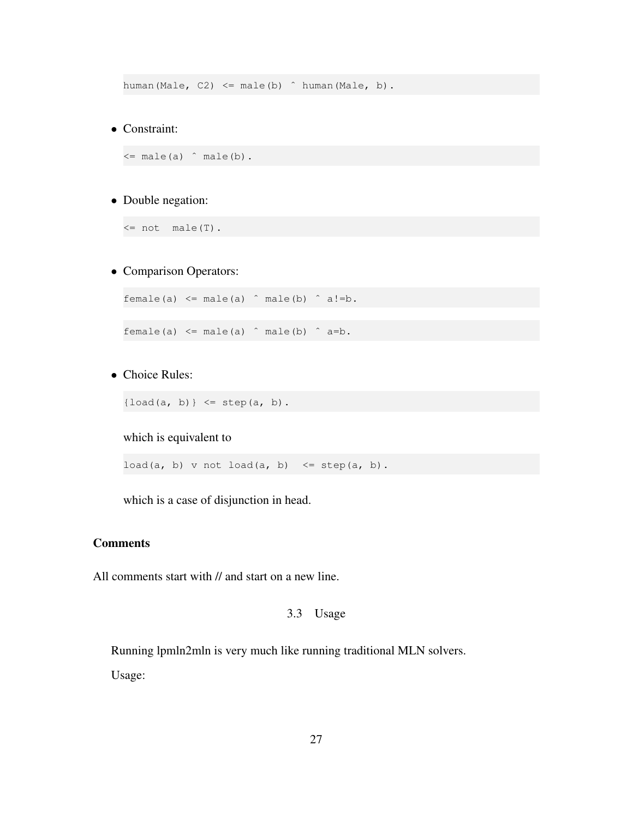human(Male, C2)  $\leq$  male(b)  $\hat{ }$  human(Male, b).

• Constraint:

 $\leq$  male(a)  $\hat{ }$  male(b).

# • Double negation:

 $\leq$  not male(T).

#### • Comparison Operators:

female(a)  $\leq$  male(a)  $\hat{ }$  male(b)  $\hat{ }$  a!=b.

female(a)  $\leq$  male(a)  $\hat{ }$  male(b)  $\hat{ }$  a=b.

• Choice Rules:

 ${load(a, b)} < = step(a, b)$ .

#### which is equivalent to

load(a, b) v not load(a, b) <= step(a, b).

which is a case of disjunction in head.

## **Comments**

<span id="page-28-0"></span>All comments start with // and start on a new line.

# 3.3 Usage

Running lpmln2mln is very much like running traditional MLN solvers.

Usage: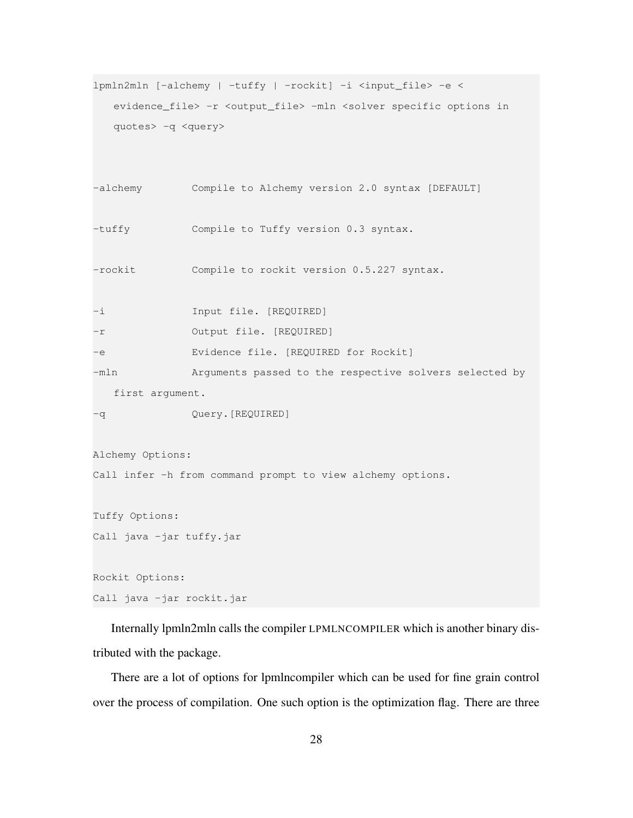```
lpmln2mln [-alchemy | -tuffy | -rockit] -i <input_file> -e <
  evidence_file> -r <output_file> -mln <solver specific options in
  quotes> -q <query>
-alchemy Compile to Alchemy version 2.0 syntax [DEFAULT]
-tuffy Compile to Tuffy version 0.3 syntax.
-rockit Compile to rockit version 0.5.227 syntax.
-i Input file. [REQUIRED]
-r Output file. [REQUIRED]
-e Evidence file. [REQUIRED for Rockit]
-mln Arguments passed to the respective solvers selected by
  first argument.
-q Query.[REQUIRED]
Alchemy Options:
Call infer -h from command prompt to view alchemy options.
Tuffy Options:
Call java -jar tuffy.jar
Rockit Options:
Call java -jar rockit.jar
```
Internally lpmln2mln calls the compiler LPMLNCOMPILER which is another binary distributed with the package.

There are a lot of options for lpmlncompiler which can be used for fine grain control over the process of compilation. One such option is the optimization flag. There are three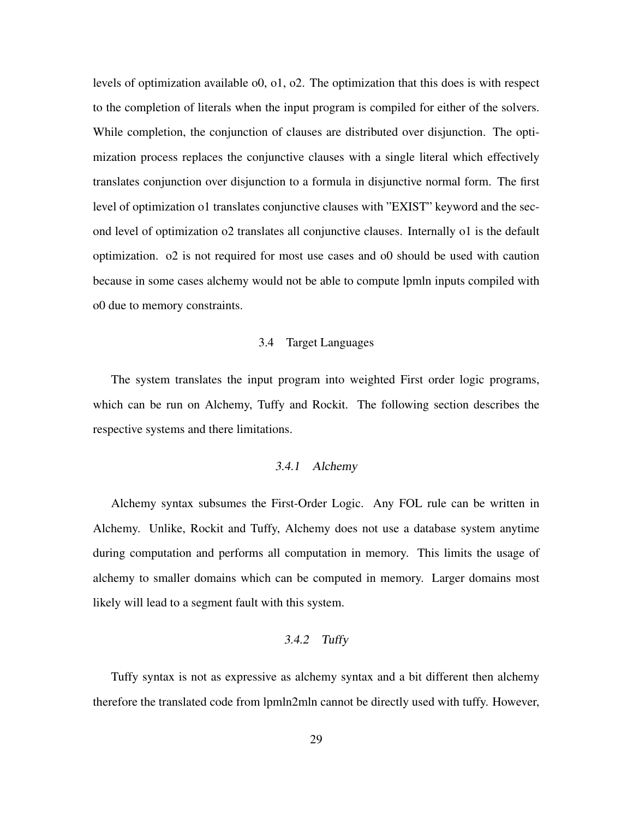levels of optimization available o0, o1, o2. The optimization that this does is with respect to the completion of literals when the input program is compiled for either of the solvers. While completion, the conjunction of clauses are distributed over disjunction. The optimization process replaces the conjunctive clauses with a single literal which effectively translates conjunction over disjunction to a formula in disjunctive normal form. The first level of optimization o1 translates conjunctive clauses with "EXIST" keyword and the second level of optimization o2 translates all conjunctive clauses. Internally o1 is the default optimization. o2 is not required for most use cases and o0 should be used with caution because in some cases alchemy would not be able to compute lpmln inputs compiled with o0 due to memory constraints.

#### 3.4 Target Languages

<span id="page-30-0"></span>The system translates the input program into weighted First order logic programs, which can be run on Alchemy, Tuffy and Rockit. The following section describes the respective systems and there limitations.

#### 3.4.1 Alchemy

<span id="page-30-1"></span>Alchemy syntax subsumes the First-Order Logic. Any FOL rule can be written in Alchemy. Unlike, Rockit and Tuffy, Alchemy does not use a database system anytime during computation and performs all computation in memory. This limits the usage of alchemy to smaller domains which can be computed in memory. Larger domains most likely will lead to a segment fault with this system.

#### 3.4.2 Tuffy

<span id="page-30-2"></span>Tuffy syntax is not as expressive as alchemy syntax and a bit different then alchemy therefore the translated code from lpmln2mln cannot be directly used with tuffy. However,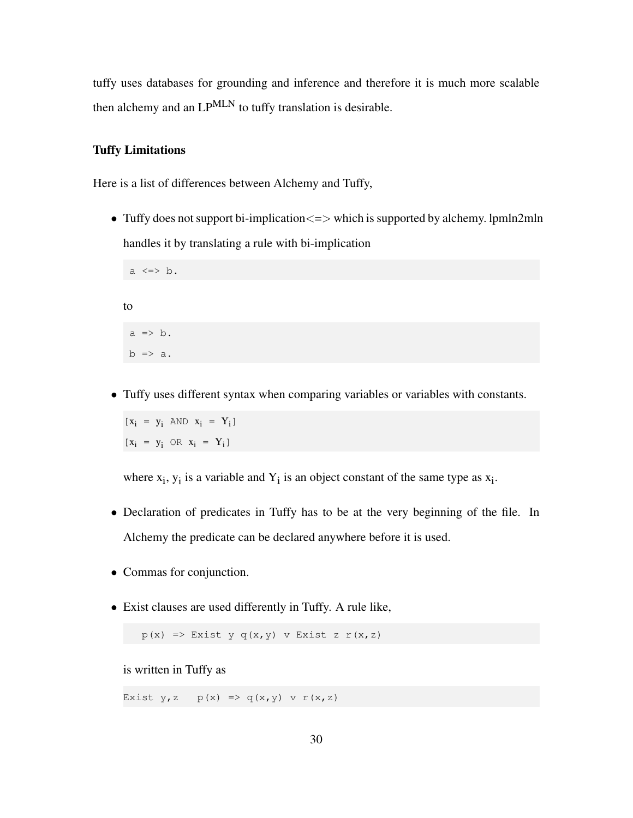tuffy uses databases for grounding and inference and therefore it is much more scalable then alchemy and an LP<sup>MLN</sup> to tuffy translation is desirable.

#### Tuffy Limitations

Here is a list of differences between Alchemy and Tuffy,

• Tuffy does not support bi-implication  $\leq$  > which is supported by alchemy. lpmln2mln handles it by translating a rule with bi-implication

```
a \iff b.
to
 a \Rightarrow b.
 b \Rightarrow a.
```
• Tuffy uses different syntax when comparing variables or variables with constants.

 $[x_i = y_i \text{ AND } x_i = Y_i]$  $[x_i = y_i \text{ OR } x_i = Y_i]$ 

where  $x_i$ ,  $y_i$  is a variable and  $Y_i$  is an object constant of the same type as  $x_i$ .

- Declaration of predicates in Tuffy has to be at the very beginning of the file. In Alchemy the predicate can be declared anywhere before it is used.
- Commas for conjunction.
- Exist clauses are used differently in Tuffy. A rule like,

 $p(x) \Rightarrow$  Exist y q(x, y) v Exist z  $r(x, z)$ 

is written in Tuffy as

Exist  $y, z \in p(x) \implies q(x, y) \text{ or } r(x, z)$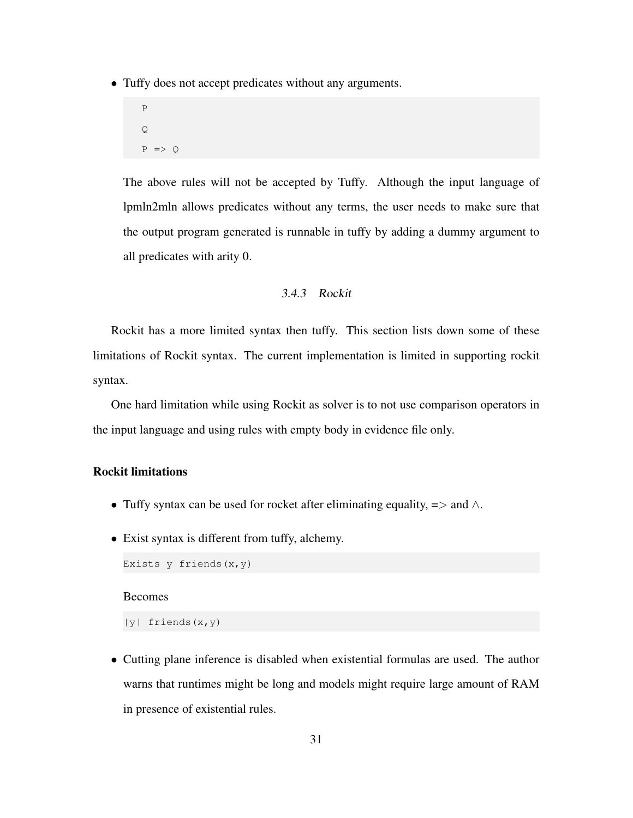• Tuffy does not accept predicates without any arguments.

```
P
\mathbf QP \Rightarrow Q
```
The above rules will not be accepted by Tuffy. Although the input language of lpmln2mln allows predicates without any terms, the user needs to make sure that the output program generated is runnable in tuffy by adding a dummy argument to all predicates with arity 0.

#### 3.4.3 Rockit

<span id="page-32-0"></span>Rockit has a more limited syntax then tuffy. This section lists down some of these limitations of Rockit syntax. The current implementation is limited in supporting rockit syntax.

One hard limitation while using Rockit as solver is to not use comparison operators in the input language and using rules with empty body in evidence file only.

# Rockit limitations

- Tuffy syntax can be used for rocket after eliminating equality,  $\Rightarrow$  and  $\wedge$ .
- Exist syntax is different from tuffy, alchemy.

```
Exists y friends (x, y)
```
# Becomes

|y| friends(x,y)

• Cutting plane inference is disabled when existential formulas are used. The author warns that runtimes might be long and models might require large amount of RAM in presence of existential rules.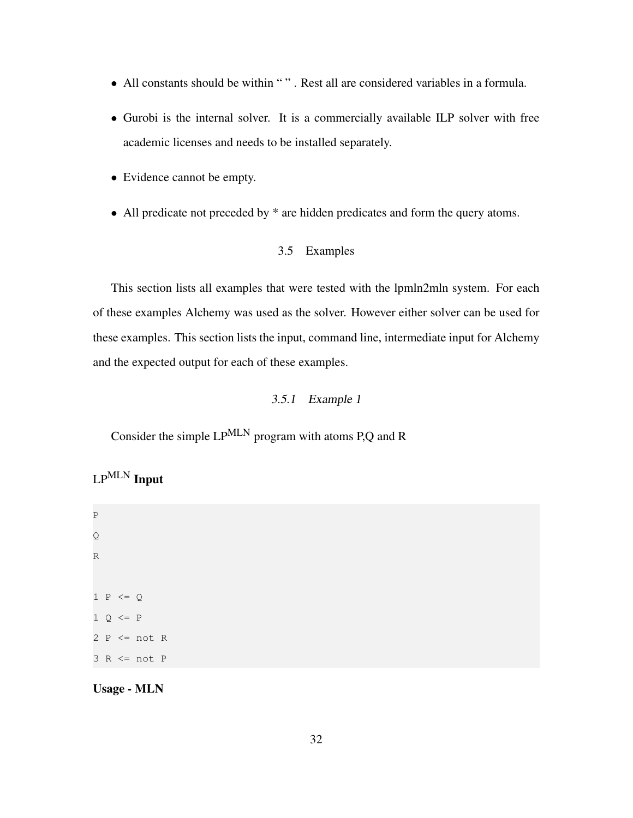- All constants should be within " " . Rest all are considered variables in a formula.
- Gurobi is the internal solver. It is a commercially available ILP solver with free academic licenses and needs to be installed separately.
- Evidence cannot be empty.
- <span id="page-33-0"></span>• All predicate not preceded by  $*$  are hidden predicates and form the query atoms.

## 3.5 Examples

This section lists all examples that were tested with the lpmln2mln system. For each of these examples Alchemy was used as the solver. However either solver can be used for these examples. This section lists the input, command line, intermediate input for Alchemy and the expected output for each of these examples.

# 3.5.1 Example 1

<span id="page-33-1"></span>Consider the simple LPMLN program with atoms P,Q and R

# LPMLN Input

P Q R  $1 P \leq Q$  $1 \circ \leftarrow P$  $2 P \leq not R$  $3 R \leq not P$ 

Usage - MLN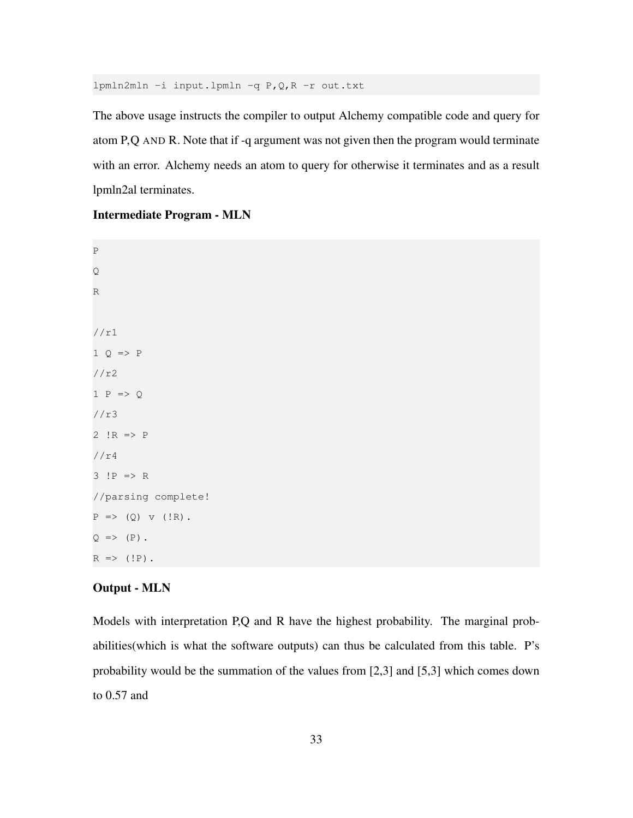lpmln2mln -i input.lpmln -q P,Q,R -r out.txt

The above usage instructs the compiler to output Alchemy compatible code and query for atom P,Q AND R. Note that if -q argument was not given then the program would terminate with an error. Alchemy needs an atom to query for otherwise it terminates and as a result lpmln2al terminates.

#### Intermediate Program - MLN

P Q R //r1  $1 Q \Rightarrow P$ //r2 1  $P \Rightarrow Q$ //r3 2  $!R$  =>  $P$ //r4 3 !P => R //parsing complete!  $P \implies (Q) \text{ v } (!R).$  $Q \Rightarrow (P)$ .  $R \Rightarrow (!P)$ .

#### Output - MLN

Models with interpretation P,Q and R have the highest probability. The marginal probabilities(which is what the software outputs) can thus be calculated from this table. P's probability would be the summation of the values from [2,3] and [5,3] which comes down to 0.57 and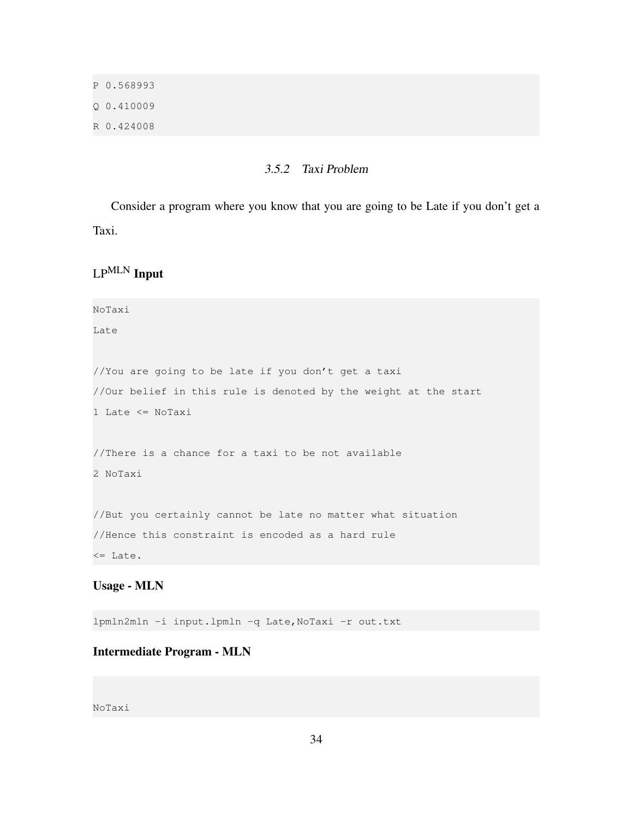P 0.568993 Q 0.410009 R 0.424008

#### 3.5.2 Taxi Problem

<span id="page-35-0"></span>Consider a program where you know that you are going to be Late if you don't get a Taxi.

LPMLN Input

NoTaxi

Late

//You are going to be late if you don't get a taxi //Our belief in this rule is denoted by the weight at the start 1 Late <= NoTaxi

//There is a chance for a taxi to be not available 2 NoTaxi

//But you certainly cannot be late no matter what situation //Hence this constraint is encoded as a hard rule <= Late.

# Usage - MLN

lpmln2mln -i input.lpmln -q Late,NoTaxi -r out.txt

# Intermediate Program - MLN

NoTaxi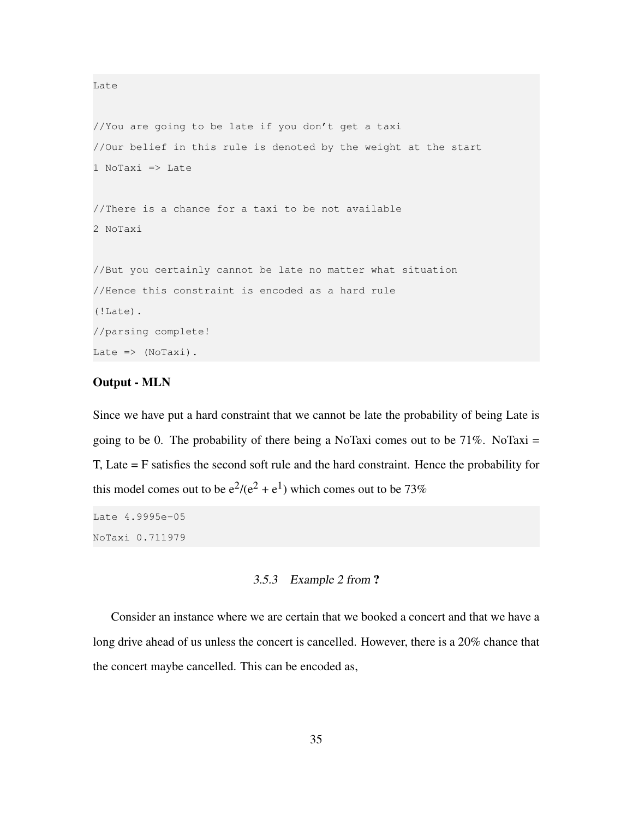```
//You are going to be late if you don't get a taxi
//Our belief in this rule is denoted by the weight at the start
1 NoTaxi => Late
//There is a chance for a taxi to be not available
2 NoTaxi
//But you certainly cannot be late no matter what situation
//Hence this constraint is encoded as a hard rule
(!Late).
//parsing complete!
Late \Rightarrow (NoTaxi).
```
#### Output - MLN

Late

Since we have put a hard constraint that we cannot be late the probability of being Late is going to be 0. The probability of there being a NoTaxi comes out to be  $71\%$ . NoTaxi = T, Late = F satisfies the second soft rule and the hard constraint. Hence the probability for this model comes out to be  $e^2/(e^2 + e^1)$  which comes out to be 73%

Late 4.9995e-05 NoTaxi 0.711979

#### 3.5.3 Example 2 from ?

<span id="page-36-0"></span>Consider an instance where we are certain that we booked a concert and that we have a long drive ahead of us unless the concert is cancelled. However, there is a 20% chance that the concert maybe cancelled. This can be encoded as,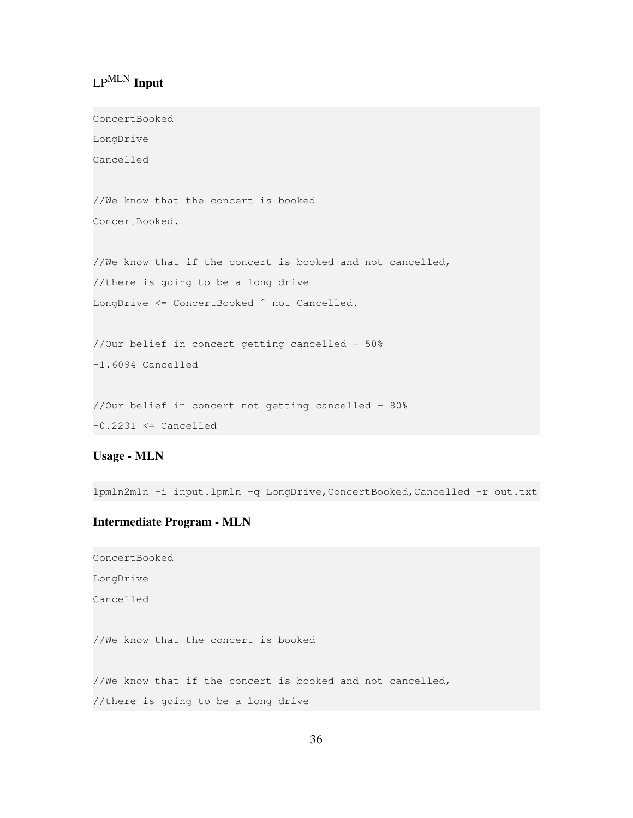# LPMLN Input

ConcertBooked

LongDrive Cancelled

//We know that the concert is booked ConcertBooked.

//We know that if the concert is booked and not cancelled, //there is going to be a long drive LongDrive <= ConcertBooked ^ not Cancelled.

//Our belief in concert getting cancelled - 50% -1.6094 Cancelled

//Our belief in concert not getting cancelled - 80%  $-0.2231 \leq$  Cancelled

Usage - MLN

lpmln2mln -i input.lpmln -q LongDrive,ConcertBooked,Cancelled -r out.txt

#### Intermediate Program - MLN

ConcertBooked LongDrive Cancelled //We know that the concert is booked //We know that if the concert is booked and not cancelled, //there is going to be a long drive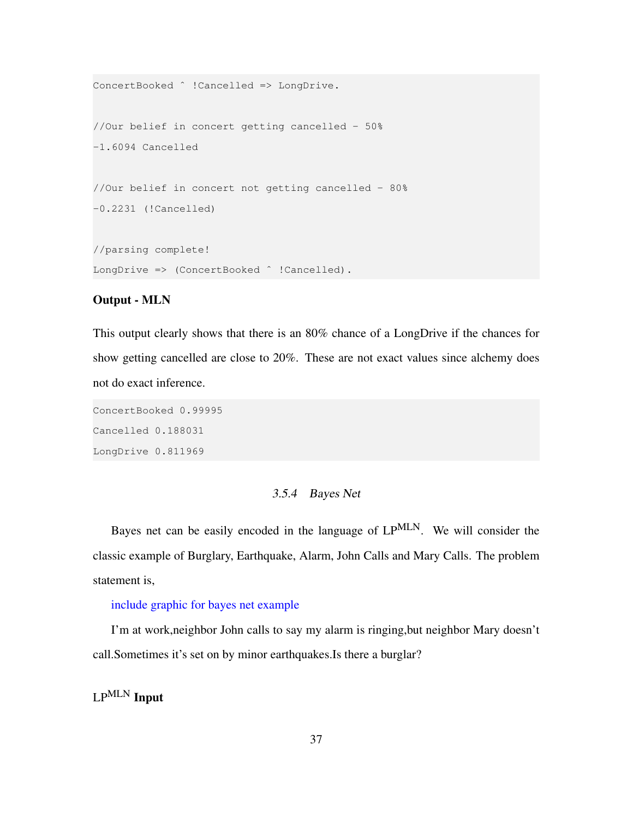```
ConcertBooked ˆ !Cancelled => LongDrive.
//Our belief in concert getting cancelled - 50%
-1.6094 Cancelled
//Our belief in concert not getting cancelled - 80%
-0.2231 (!Cancelled)
//parsing complete!
LongDrive => (ConcertBooked ^ !Cancelled).
```
#### Output - MLN

This output clearly shows that there is an 80% chance of a LongDrive if the chances for show getting cancelled are close to 20%. These are not exact values since alchemy does not do exact inference.

ConcertBooked 0.99995 Cancelled 0.188031 LongDrive 0.811969

# 3.5.4 Bayes Net

<span id="page-38-0"></span>Bayes net can be easily encoded in the language of LPMLN. We will consider the classic example of Burglary, Earthquake, Alarm, John Calls and Mary Calls. The problem statement is,

#### include graphic for bayes net example

I'm at work,neighbor John calls to say my alarm is ringing,but neighbor Mary doesn't call.Sometimes it's set on by minor earthquakes.Is there a burglar?

LPMLN Input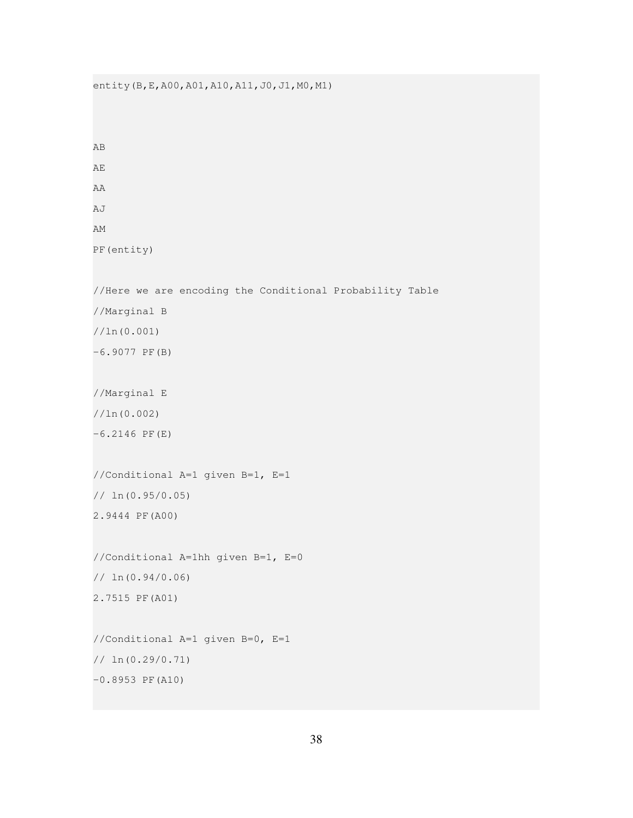```
entity(B, E, A00, A01, A10, A11, J0, J1, M0, M1)
AB
AE
AA
AJ
AM
PF(entity)
//Here we are encoding the Conditional Probability Table
//Marginal B
//ln(0.001)
-6.9077 PF(B)
//Marginal E
//ln(0.002)
-6.2146 PF(E)
//Conditional A=1 given B=1, E=1
// ln(0.95/0.05)
2.9444 PF(A00)
//Conditional A=1hh given B=1, E=0
// ln(0.94/0.06)
2.7515 PF(A01)
//Conditional A=1 given B=0, E=1
// ln(0.29/0.71)
```

```
-0.8953 PF(A10)
```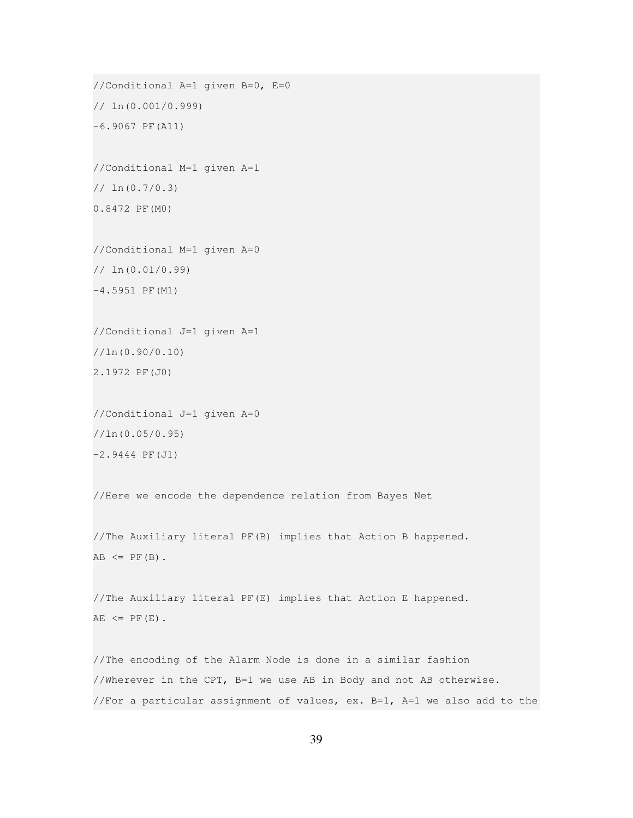```
//Conditional A=1 given B=0, E=0
// ln(0.001/0.999)
-6.9067 PF(A11)
//Conditional M=1 given A=1
// ln(0.7/0.3)
0.8472 PF(M0)
//Conditional M=1 given A=0
// ln(0.01/0.99)
-4.5951 PF(M1)
//Conditional J=1 given A=1
//ln(0.90/0.10)
2.1972 PF(J0)
//Conditional J=1 given A=0
//ln(0.05/0.95)
-2.9444 PF(J1)
```
//Here we encode the dependence relation from Bayes Net

//The Auxiliary literal PF(B) implies that Action B happened.  $AB \leq PF(B)$ .

//The Auxiliary literal PF(E) implies that Action E happened.  $AE \leq PF(E)$ .

//The encoding of the Alarm Node is done in a similar fashion //Wherever in the CPT, B=1 we use AB in Body and not AB otherwise. //For a particular assignment of values, ex.  $B=1$ ,  $A=1$  we also add to the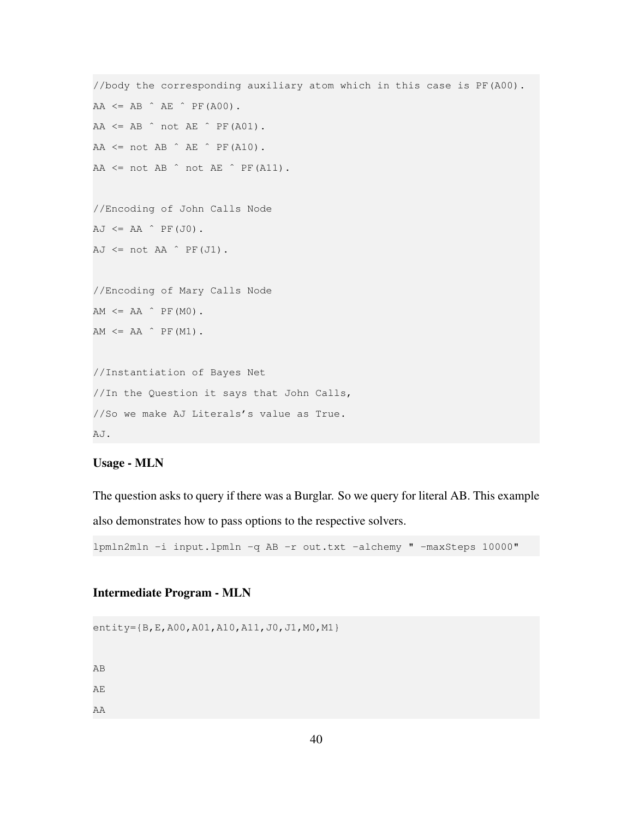```
//body the corresponding auxiliary atom which in this case is PF(A00).
AA \leq AB \triangle^{AB} \triangle^{BE} \triangle^{B} PF(A00).
AA \leq AB \cap not AE \cap PF(A01).
AA \leq not AB \hat{AB} \hat{B}AA \leq not AB \text{ at } AB \text{ at } AE \text{ at } AB.
//Encoding of John Calls Node
AJ \leq AA \cap PF(J0).
AJ \leq not AA \cap PF(J1).
//Encoding of Mary Calls Node
AM \leq AA \hat{P} PF(M0).
AM \leq AA \hat{P} PF(M1).
//Instantiation of Bayes Net
//In the Question it says that John Calls,
//So we make AJ Literals's value as True.
AJ.
```
#### Usage - MLN

The question asks to query if there was a Burglar. So we query for literal AB. This example also demonstrates how to pass options to the respective solvers.

lpmln2mln -i input.lpmln -q AB -r out.txt -alchemy " -maxSteps 10000"

#### Intermediate Program - MLN

entity={B,E,A00,A01,A10,A11,J0,J1,M0,M1}

AB

AE

AA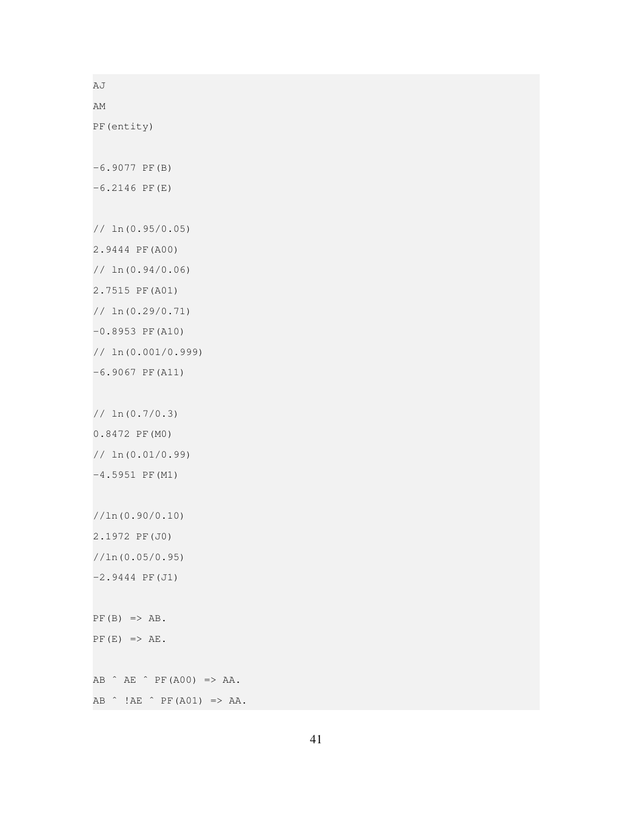AJ AM PF(entity) -6.9077 PF(B)  $-6.2146$  PF(E) // ln(0.95/0.05) 2.9444 PF(A00) // ln(0.94/0.06) 2.7515 PF(A01) // ln(0.29/0.71) -0.8953 PF(A10) // ln(0.001/0.999) -6.9067 PF(A11) // ln(0.7/0.3) 0.8472 PF(M0) // ln(0.01/0.99) -4.5951 PF(M1) //ln(0.90/0.10) 2.1972 PF(J0) //ln(0.05/0.95) -2.9444 PF(J1)  $PF(B) \Rightarrow AB.$  $PF(E) \Rightarrow AE.$ AB ˆ AE ˆ PF(A00) => AA.  $AB \tM B \tH A E \tP F (A01) \t>> AA.$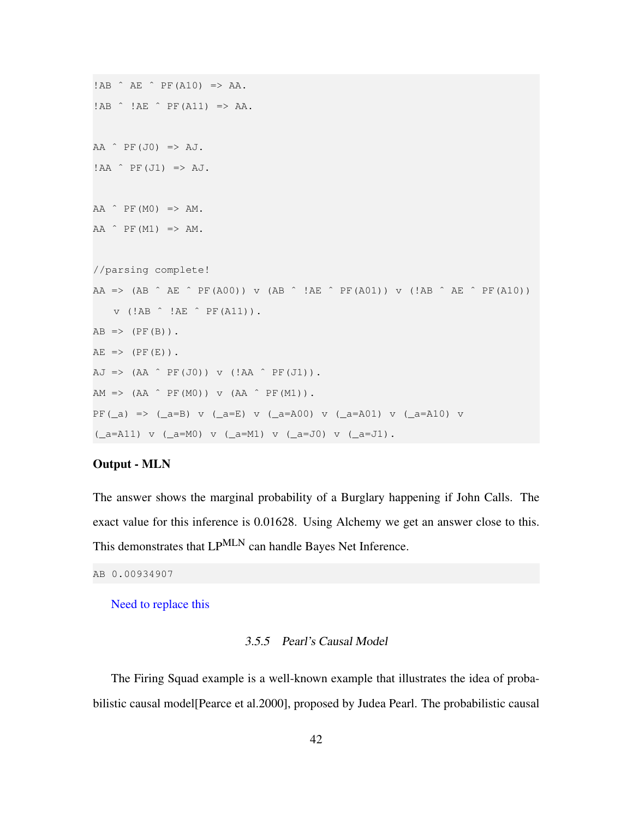```
!AB ˆ AE ˆ PF(A10) => AA.
!AB \t1AE \t1AE \tPE(A11) \Rightarrow AA.AA \nightharpoonup PF(J0) \implies AJ.!AA \hat{P}F(J1) \Rightarrow AJ.AA \cap PF(M0) \implies AM.AA \hat{P} PF(M1) => AM.
//parsing complete!
AA => (AB \hat{A} AE \hat{B} PF(A00)) v (AB \hat{A} !AE \hat{B} PF(A01)) v (!AB \hat{A} AE \hat{B} PF(A10))
    v (!AB ˆ !AE ˆ PF(A11)).
AB \Rightarrow (PF(B)).
AE => (PF(E)).
AJ => (AA \cap PF(J0)) v (IAA \cap PF(J1)).
AM => (AA \cap PF(M0)) v (AA \cap PF(M1)).
PF(_a) => (_a=B) v (_a=E) v (_a=A00) v (_a=A01) v (_a=A10) v
(\text{a=A11}) \text{ v } (\text{a=M0}) \text{ v } (\text{a=M1}) \text{ v } (\text{a=J0}) \text{ v } (\text{a=J1}).
```
#### Output - MLN

The answer shows the marginal probability of a Burglary happening if John Calls. The exact value for this inference is 0.01628. Using Alchemy we get an answer close to this. This demonstrates that LP<sup>MLN</sup> can handle Bayes Net Inference.

```
AB 0.00934907
```
<span id="page-43-0"></span>Need to replace this

#### 3.5.5 Pearl's Causal Model

The Firing Squad example is a well-known example that illustrates the idea of probabilistic causal model[Pearce et al.2000], proposed by Judea Pearl. The probabilistic causal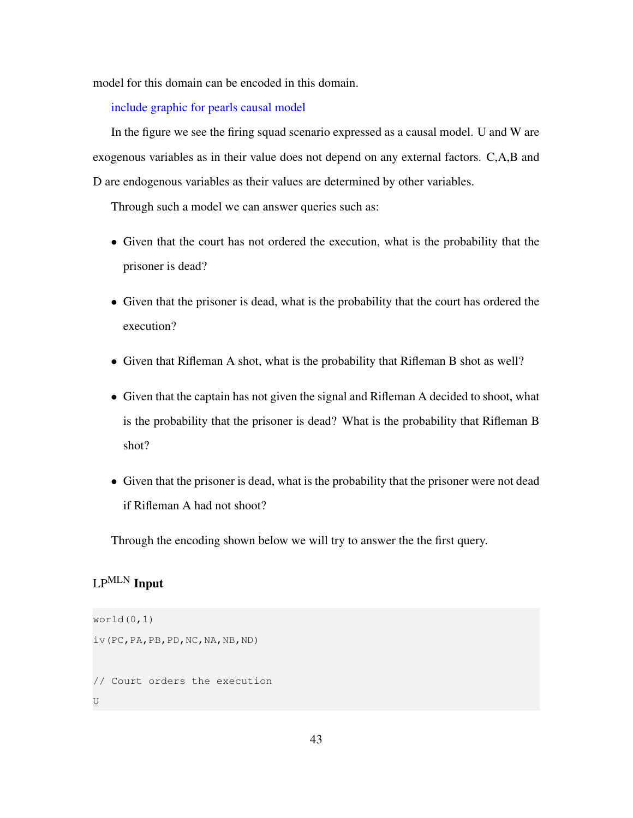model for this domain can be encoded in this domain.

include graphic for pearls causal model

In the figure we see the firing squad scenario expressed as a causal model. U and W are exogenous variables as in their value does not depend on any external factors. C,A,B and D are endogenous variables as their values are determined by other variables.

Through such a model we can answer queries such as:

- Given that the court has not ordered the execution, what is the probability that the prisoner is dead?
- Given that the prisoner is dead, what is the probability that the court has ordered the execution?
- Given that Rifleman A shot, what is the probability that Rifleman B shot as well?
- Given that the captain has not given the signal and Rifleman A decided to shoot, what is the probability that the prisoner is dead? What is the probability that Rifleman B shot?
- Given that the prisoner is dead, what is the probability that the prisoner were not dead if Rifleman A had not shoot?

Through the encoding shown below we will try to answer the the first query.

# LPMLN Input

```
word(0,1)iv(PC,PA,PB,PD,NC,NA,NB,ND)
// Court orders the execution
U
```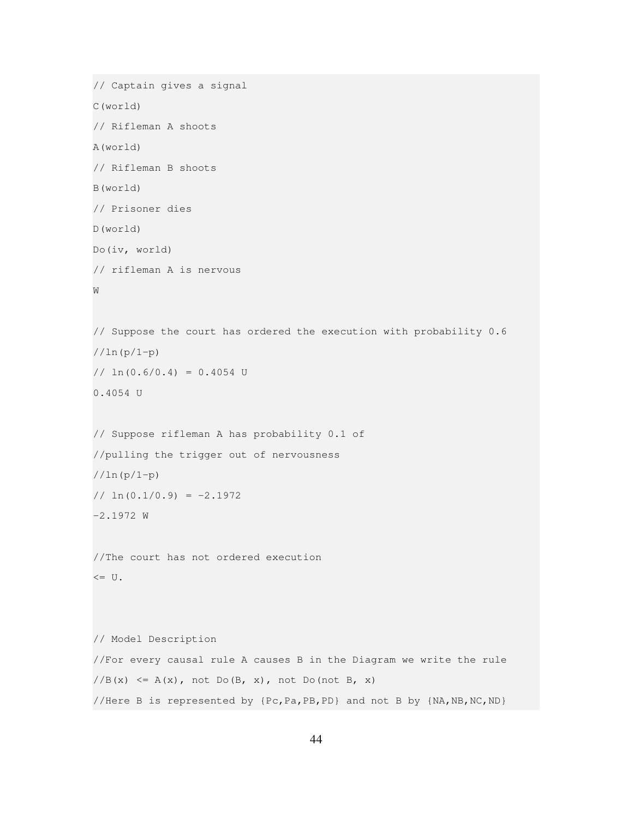```
// Captain gives a signal
C(world)
// Rifleman A shoots
A(world)
// Rifleman B shoots
B(world)
// Prisoner dies
D(world)
Do(iv, world)
// rifleman A is nervous
W
// Suppose the court has ordered the execution with probability 0.6
//ln(p/1-p)
// \ln(0.6/0.4) = 0.4054 U
0.4054 U
// Suppose rifleman A has probability 0.1 of
//pulling the trigger out of nervousness
//ln(p/1-p)
1/\ln(0.1/0.9) = -2.1972-2.1972 W
//The court has not ordered execution
\leq U.
// Model Description
//For every causal rule A causes B in the Diagram we write the rule
//B(x) \leq A(x), not Do(B, x), not Do(not B, x)
//Here B is represented by {Pc,Pa,PB,PD} and not B by {NA,NB,NC,ND}
```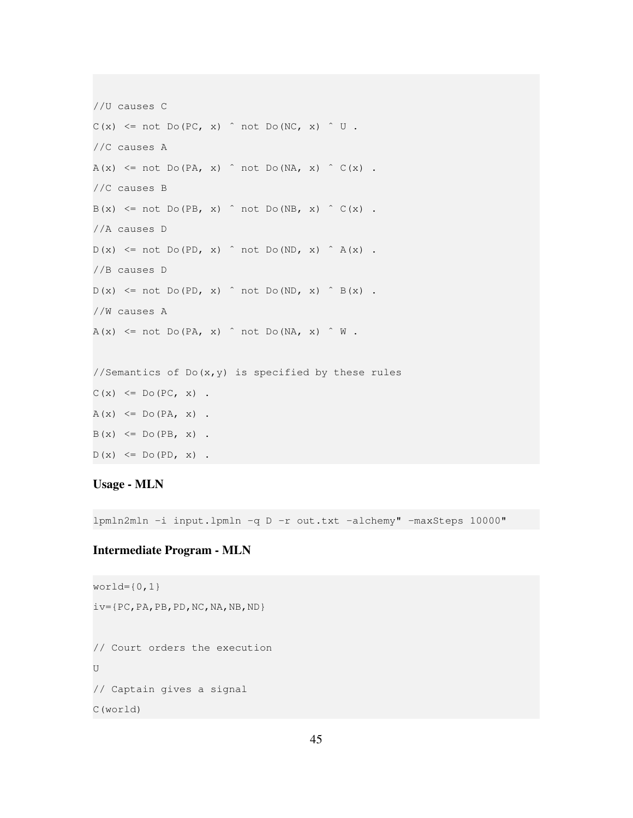```
//U causes C
C(x) \leq not Do(PC, x) \cap not Do(NC, x) \cap U.
//C causes A
A(x) \leq not Do(PA, x) \text{ not Do}(NA, x) \text{ (C(x))}.//C causes B
B(x) \leq not Do(PB, x) \text{ not Do}(NB, x) \text{ c}(x).
//A causes D
D(x) \leq not Do(PD, x) \text{ not Do}(ND, x) \text{ at } A(x).
//B causes D
D(x) \leq not Do(PD, x) \text{ not Do}(ND, x) \text{ is } B(x).
//W causes A
A(x) \leq not Do(PA, x) \text{ not Do}(NA, x) \text{ with }//Semantics of Do(x, y) is specified by these rules
C(x) \leq D \circ (PC, x).
A(x) \leq Do(PA, x).
B(x) \leq D \circ (PB, x).
D(x) \le Do(PD, x).
```
#### Usage - MLN

lpmln2mln -i input.lpmln -q D -r out.txt -alchemy" -maxSteps 10000"

## Intermediate Program - MLN

```
word={0, 1}iv={PC,PA,PB,PD,NC,NA,NB,ND}
// Court orders the execution
\overline{1}// Captain gives a signal
C(world)
```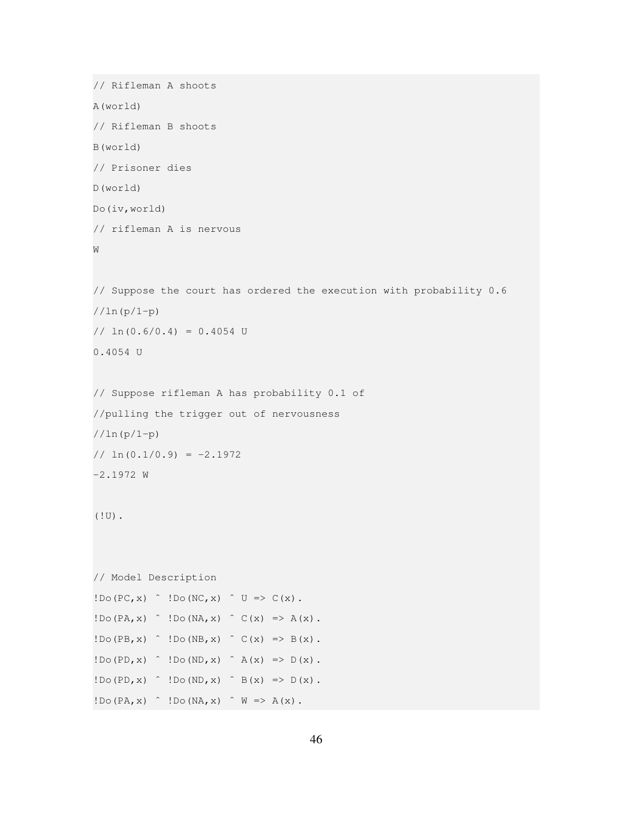```
// Rifleman A shoots
A(world)
// Rifleman B shoots
B(world)
// Prisoner dies
D(world)
Do(iv,world)
// rifleman A is nervous
W
// Suppose the court has ordered the execution with probability 0.6
//ln(p/1-p)
// ln(0.6/0.4) = 0.4054 U
0.4054 U
// Suppose rifleman A has probability 0.1 of
//pulling the trigger out of nervousness
//ln(p/1-p)
1/\ln(0.1/0.9) = -2.1972-2.1972 W
(!U).
// Model Description
!D\circ(PC, x) \cap !D\circ(NC, x) \cap U \Rightarrow C(x).
!Do(PA, x) \hat{ } !Do(NA, x) \hat{ } C(x) => A(x).
!D\circ(PB, x) '.D\circ(NB, x) '.C(x) \Rightarrow B(x).
!D\circ(PD, x) \cap !D\circ(ND, x) \cap A(x) \Rightarrow D(x).
!D\circ(PD, x) \cap !D\circ(ND, x) \cap B(x) \Rightarrow D(x).
!Do(PA, x) \hat{ } !Do(NA, x) \hat{ } W => A(x).
```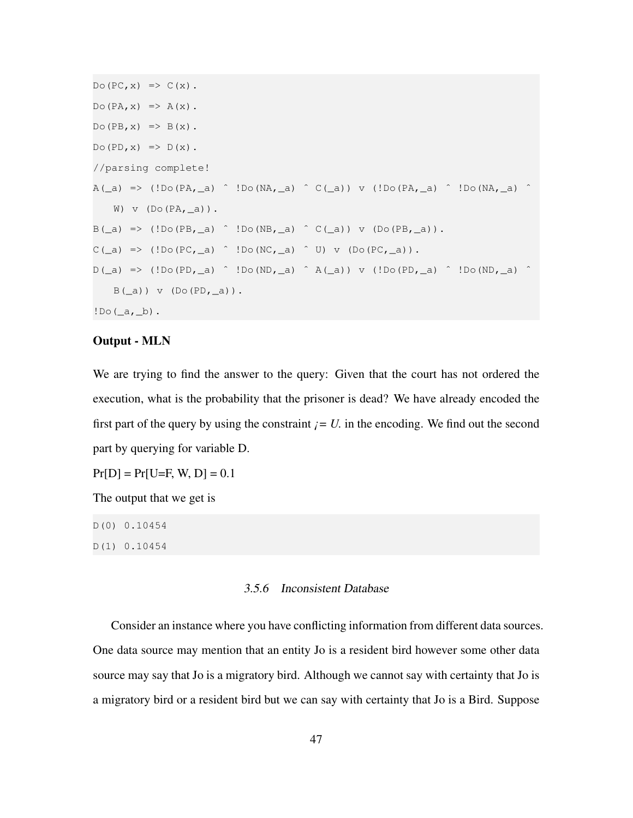```
Do(PC, x) \Rightarrow C(x).
Do(PA, x) \Rightarrow A(x).
Do(PB, x) \Rightarrow B(x).
Do(PD, x) \Rightarrow D(x).
//parsing complete!
A(\_a) => (!Do(PA,\_a) \hat{ } !Do(NA,\_a) \hat{ } C(\_a)) v (!Do(PA,\_a) \hat{ } !Do(NA,\_a) \hat{ }W) v (Do(PA, a)).
B(\_a) \Rightarrow (!D \circ (PB, \_a) \land !D \circ (NB, \_a) \land C(\_a)) \lor (D \circ (PB, \_a)).C(\_a) => (!Do(PC, a) \hat{C} !Do(NC, a) \hat{C} U) v (Do(PC, a)).
D(\_a) => (!Do(PD,\_a) \hat{D} !Do(ND,\_a) \hat{A}(\_a)) v (!Do(PD,\_a) \hat{D} !Do(ND,\_a) \hat{D}B(\_a)) v (DO(PD, \_a)).
!D \circ (\underline{\hspace{1mm}} a, \underline{\hspace{1mm}} b).
```
#### Output - MLN

We are trying to find the answer to the query: Given that the court has not ordered the execution, what is the probability that the prisoner is dead? We have already encoded the first part of the query by using the constraint  $i = U$ . in the encoding. We find out the second part by querying for variable D.

 $Pr[D] = Pr[U=F, W, D] = 0.1$ 

The output that we get is

D(0) 0.10454 D(1) 0.10454

#### 3.5.6 Inconsistent Database

<span id="page-48-0"></span>Consider an instance where you have conflicting information from different data sources. One data source may mention that an entity Jo is a resident bird however some other data source may say that Jo is a migratory bird. Although we cannot say with certainty that Jo is a migratory bird or a resident bird but we can say with certainty that Jo is a Bird. Suppose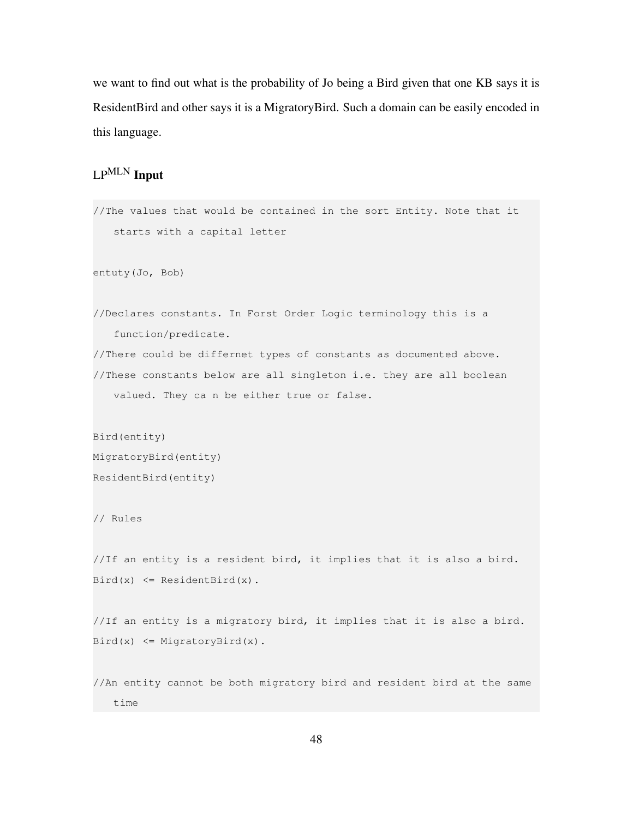we want to find out what is the probability of Jo being a Bird given that one KB says it is ResidentBird and other says it is a MigratoryBird. Such a domain can be easily encoded in this language.

# LPMLN Input

```
//The values that would be contained in the sort Entity. Note that it
   starts with a capital letter
entuty(Jo, Bob)
//Declares constants. In Forst Order Logic terminology this is a
   function/predicate.
//There could be differnet types of constants as documented above.
//These constants below are all singleton i.e. they are all boolean
   valued. They ca n be either true or false.
Bird(entity)
MigratoryBird(entity)
ResidentBird(entity)
// Rules
//If an entity is a resident bird, it implies that it is also a bird.
Bird(x) \leq Residend(\sin(x)).//If an entity is a migratory bird, it implies that it is also a bird.
Bird(x) \leq Mid(xd)//An entity cannot be both migratory bird and resident bird at the same
   time
```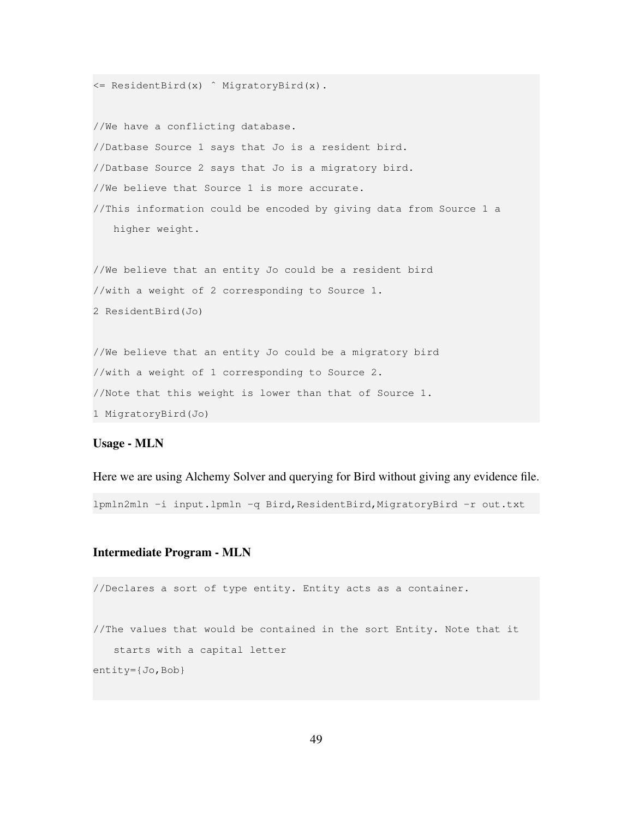```
<= ResidentBird(x) ˆ MigratoryBird(x).
//We have a conflicting database.
//Datbase Source 1 says that Jo is a resident bird.
//Datbase Source 2 says that Jo is a migratory bird.
//We believe that Source 1 is more accurate.
//This information could be encoded by giving data from Source 1 a
   higher weight.
//We believe that an entity Jo could be a resident bird
//with a weight of 2 corresponding to Source 1.
2 ResidentBird(Jo)
```
//We believe that an entity Jo could be a migratory bird //with a weight of 1 corresponding to Source 2. //Note that this weight is lower than that of Source 1. 1 MigratoryBird(Jo)

#### Usage - MLN

Here we are using Alchemy Solver and querying for Bird without giving any evidence file.

lpmln2mln -i input.lpmln -q Bird,ResidentBird,MigratoryBird -r out.txt

#### Intermediate Program - MLN

```
//Declares a sort of type entity. Entity acts as a container.
//The values that would be contained in the sort Entity. Note that it
   starts with a capital letter
entity={Jo,Bob}
```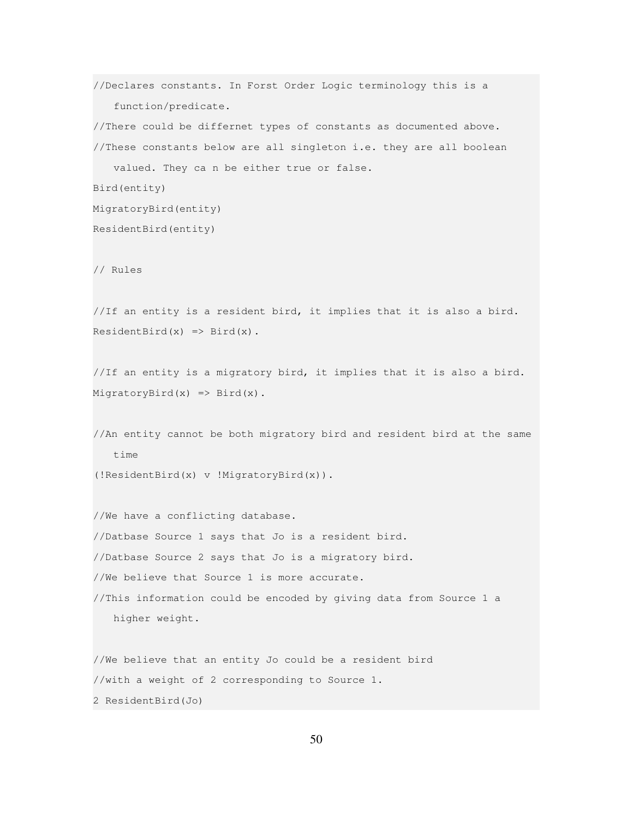//Declares constants. In Forst Order Logic terminology this is a function/predicate. //There could be differnet types of constants as documented above. //These constants below are all singleton i.e. they are all boolean valued. They ca n be either true or false. Bird(entity) MigratoryBird(entity) ResidentBird(entity) // Rules //If an entity is a resident bird, it implies that it is also a bird.  $ResidentBird(x) \Rightarrow Bird(x)$ . //If an entity is a migratory bird, it implies that it is also a bird.  $MigratoryBird(x) \implies Bird(x)$ . //An entity cannot be both migratory bird and resident bird at the same time (!ResidentBird(x) v !MigratoryBird(x)). //We have a conflicting database. //Datbase Source 1 says that Jo is a resident bird. //Datbase Source 2 says that Jo is a migratory bird. //We believe that Source 1 is more accurate. //This information could be encoded by giving data from Source 1 a higher weight. //We believe that an entity Jo could be a resident bird

//with a weight of 2 corresponding to Source 1.

2 ResidentBird(Jo)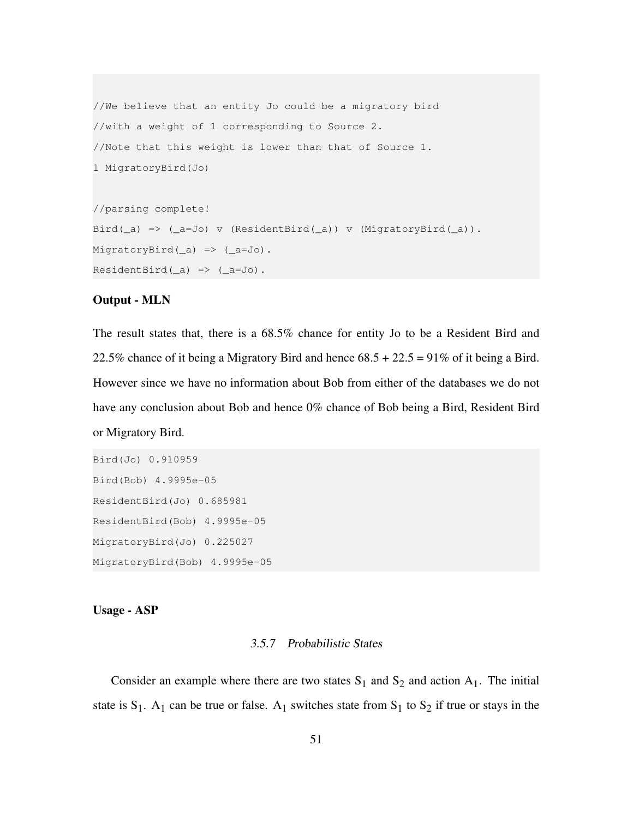```
//We believe that an entity Jo could be a migratory bird
//with a weight of 1 corresponding to Source 2.
//Note that this weight is lower than that of Source 1.
1 MigratoryBird(Jo)
//parsing complete!
Bird(_a) => (_a=Jo) v (ResidentBird(_a)) v (MigratoryBird(_a)).
MigratoryBird(_a) => (_a=Jo).
```

```
ResidentBird(\_a) \Rightarrow (\_a=Jo).
```
#### Output - MLN

The result states that, there is a 68.5% chance for entity Jo to be a Resident Bird and 22.5% chance of it being a Migratory Bird and hence  $68.5 + 22.5 = 91\%$  of it being a Bird. However since we have no information about Bob from either of the databases we do not have any conclusion about Bob and hence 0% chance of Bob being a Bird, Resident Bird or Migratory Bird.

```
Bird(Jo) 0.910959
Bird(Bob) 4.9995e-05
ResidentBird(Jo) 0.685981
ResidentBird(Bob) 4.9995e-05
MigratoryBird(Jo) 0.225027
MigratoryBird(Bob) 4.9995e-05
```
<span id="page-52-0"></span>Usage - ASP

#### 3.5.7 Probabilistic States

Consider an example where there are two states  $S_1$  and  $S_2$  and action  $A_1$ . The initial state is  $S_1$ . A<sub>1</sub> can be true or false. A<sub>1</sub> switches state from  $S_1$  to  $S_2$  if true or stays in the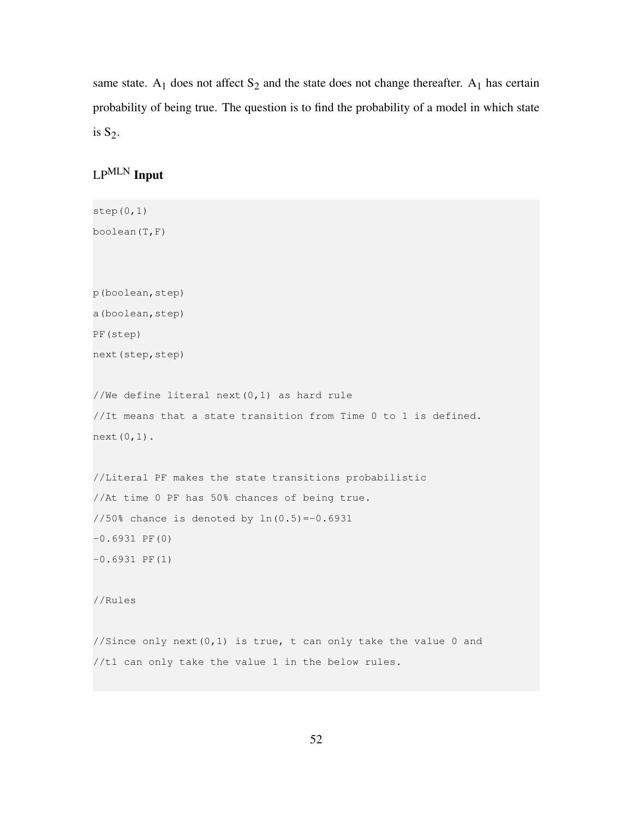same state.  $A_1$  does not affect  $S_2$  and the state does not change thereafter.  $A_1$  has certain probability of being true. The question is to find the probability of a model in which state is  $S_2$ .

# LPMLN Input

```
step(0,1)
boolean(T,F)
p(boolean,step)
a(boolean,step)
PF(step)
next(step,step)
//We define literal next(0,1) as hard rule
//It means that a state transition from Time 0 to 1 is defined.
next(0,1).
//Literal PF makes the state transitions probabilistic
//At time 0 PF has 50% chances of being true.
1/50% chance is denoted by ln(0.5) = -0.6931-0.6931 PF(0)
-0.6931 PF(1)
//Rules
//Since only next (0,1) is true, t can only take the value 0 and
//t1 can only take the value 1 in the below rules.
```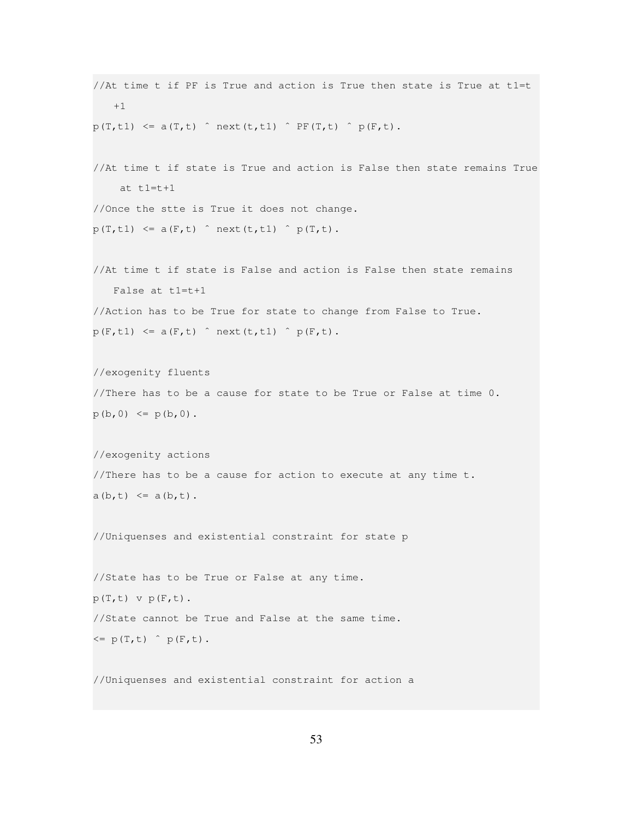```
//At time t if PF is True and action is True then state is True at t1=t
   +1
p(T, t1) \leq a(T, t) \cap next(t,t1) \cap PF(T,t) \cap p(F,t).
//At time t if state is True and action is False then state remains True
    at t1=t+1
//Once the stte is True it does not change.
p(T, t1) \leq a(F, t) next(t,t1) p(T, t).
//At time t if state is False and action is False then state remains
   False at t1=t+1
//Action has to be True for state to change from False to True.
p(F, t1) \leq a(F, t) next(t,t1) p(F,t).
//exogenity fluents
//There has to be a cause for state to be True or False at time 0.
p(b, 0) \leq p(b, 0).
//exogenity actions
//There has to be a cause for action to execute at any time t.
a(b,t) \leq a(b,t).
//Uniquenses and existential constraint for state p
//State has to be True or False at any time.
p(T,t) v p(F,t).
//State cannot be True and False at the same time.
\leq p(T, t) \cap p(F, t).
//Uniquenses and existential constraint for action a
```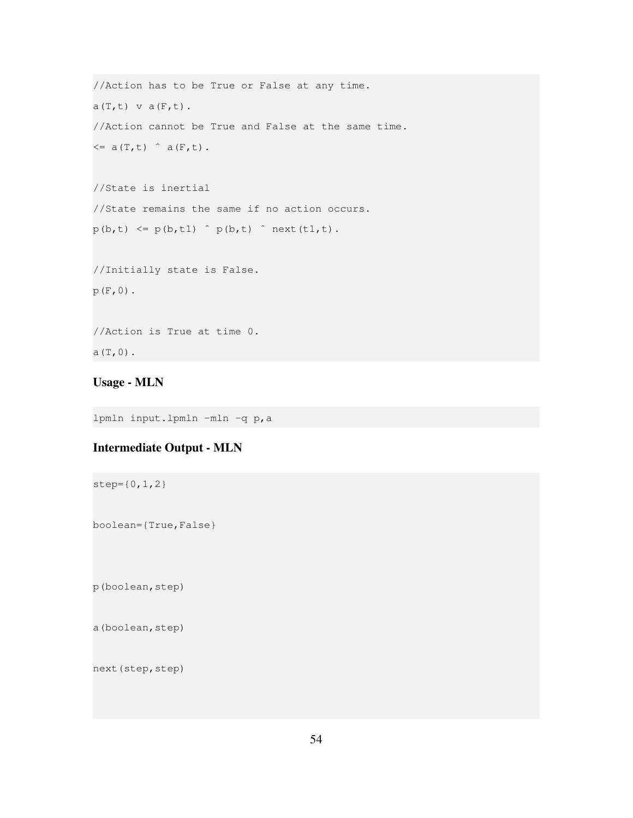```
//Action has to be True or False at any time.
a(T,t) v a(F,t).
//Action cannot be True and False at the same time.
\leq a(T, t) \hat{a}(F, t).
//State is inertial
//State remains the same if no action occurs.
p(b, t) \leq p(b, t) \hat{ } p(b,t) p(b, t) \hat{ } next(t1,t).
//Initially state is False.
p(F, 0).
//Action is True at time 0.
```

```
a(T,0).
```
# Usage - MLN

lpmln input.lpmln -mln -q p,a

# Intermediate Output - MLN

step={0,1,2}

boolean={True,False}

p(boolean,step)

a(boolean, step)

next(step, step)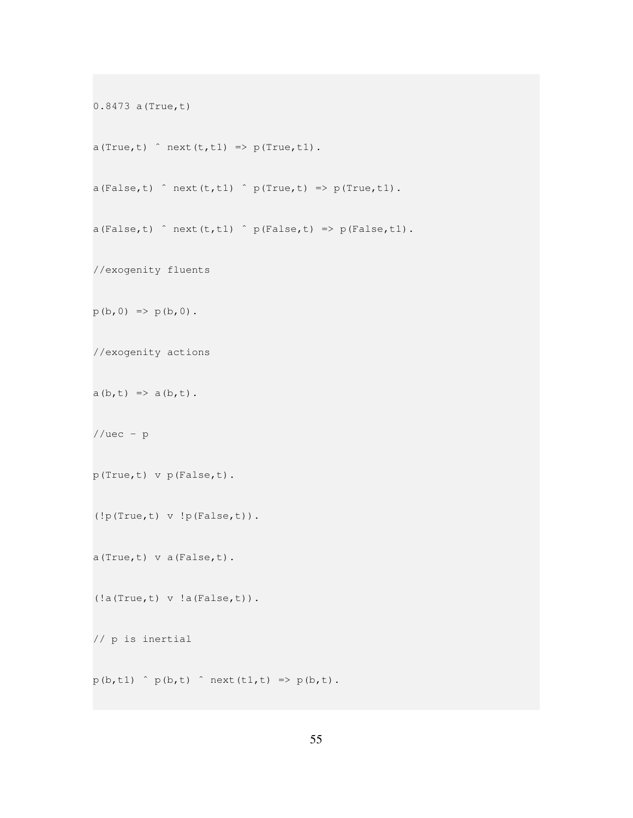```
0.8473 a(True,t)
a(True,t) \cap next(t,t1) => p(True,t1).
a(False, t) \cap next(t,t1) \cap p(True,t) => p(True,t1).
a(False, t) \cap next(t,t1) \cap p(False,t) => p(False,t1).
//exogenity fluents
p(b, 0) \implies p(b, 0).
//exogenity actions
a(b,t) => a(b,t).
//uec - pp(True,t) v p(False,t).
(!p(True,t) v !p(False,t)).
a(True,t) v a(False,t).
(!a(True,t) v !a(False,t)).
// p is inertial
p(b, t1) p(b, t) next(t1, t) \Rightarrow p(b, t).
```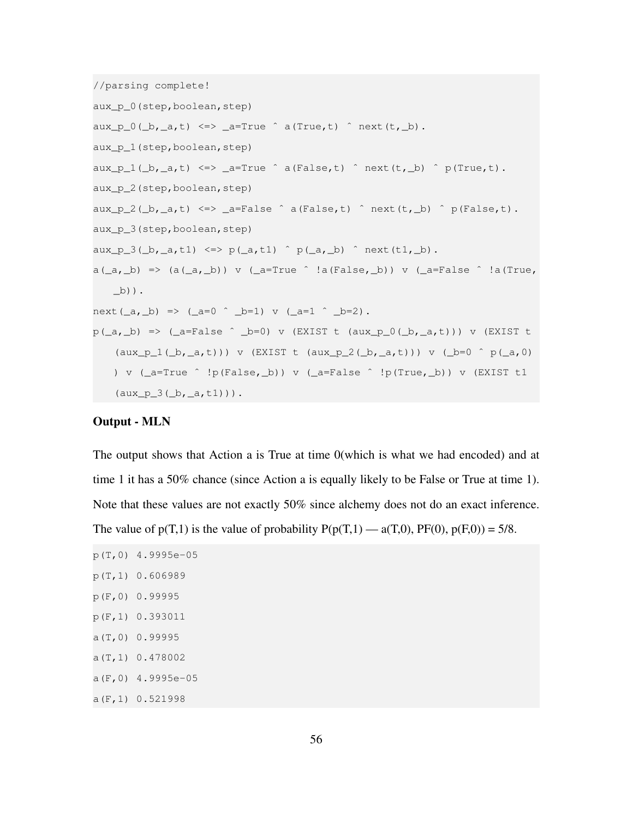```
//parsing complete!
aux_p_0(step,boolean,step)
aux_p_0(\underline{b},\underline{a},t) \iff \underline{a}=True \hat{a} (True,t) \hat{a} next(t, \underline{b}).
aux_p_1(step,boolean,step)
aux\_p\_1(\_b,\_a,t) \iff _a=True \hat{ } a(False,t) \hat{ } next(t, b) \hat{ } p(True,t).
aux_p_2(step,boolean,step)
aux_p_2(\underline{b},\underline{a},t) \iff \underline{a} = False \cap a(False,t) \cap next(t,\underline{b}) \cap p(False,t).aux_p_3(step,boolean,step)
aux_p_3(\underline{b},\underline{a},t1) \iff p(\underline{a},t1) \land p(\underline{a},\underline{b}) \land next(t1,\underline{b}).a(\underline{a},\underline{b}) \Rightarrow (a(\underline{a},\underline{b})) \vee (\underline{a} = True \wedge !a(False, \underline{b})) \vee (\underline{a} = False \wedge !a(True, \underline{b}))_b)).
next(\underline{a}, \underline{b}) \implies (\underline{a} = 0 \land \underline{b} = 1) \lor (\underline{a} = 1 \land \underline{b} = 2).p(\underline{a},\underline{b}) => (\underline{a}=False \hat{b} \underline{b}=0) v (EXIST t (aux_p_0(\underline{b}, \underline{a}, t))) v (EXIST t
      (aux_p_1(\text{du} x_p_1(\text{dv},a,t))) v (EXIST t (aux_p_2(\text{dv},a,t))) v (\text{dv} x_p(\text{dv},a,t))) v (\_a = True \quad !p(False, b)) v (\_a = False \quad !p(True, b)) v (EXIST t1(aux_p_3(\_b, _a,t1)).
```
#### Output - MLN

The output shows that Action a is True at time 0(which is what we had encoded) and at time 1 it has a 50% chance (since Action a is equally likely to be False or True at time 1). Note that these values are not exactly 50% since alchemy does not do an exact inference. The value of  $p(T,1)$  is the value of probability  $P(p(T,1) - a(T,0), PF(0), p(F,0)) = 5/8$ .

p(T,0) 4.9995e-05 p(T,1) 0.606989 p(F,0) 0.99995 p(F,1) 0.393011 a(T,0) 0.99995 a(T,1) 0.478002  $a(F, 0)$  4.9995e-05 a(F,1) 0.521998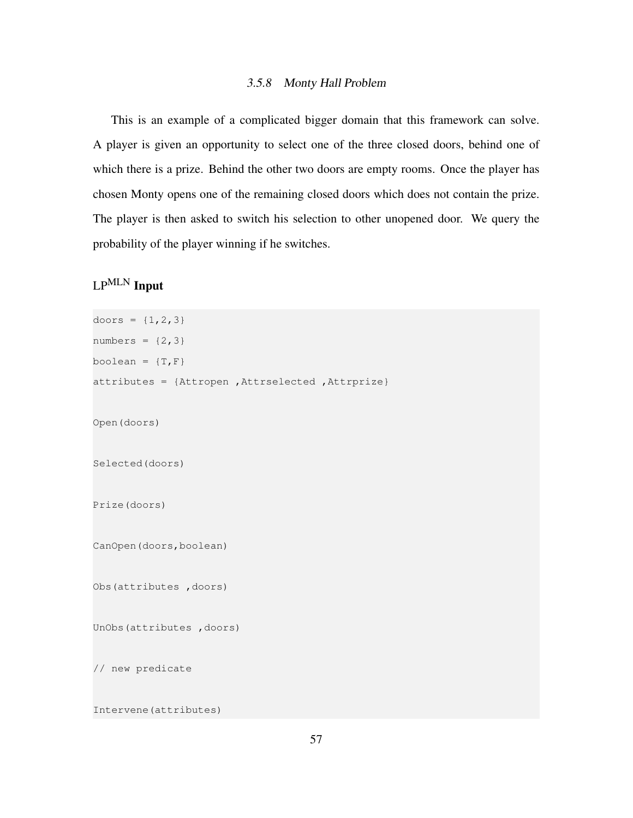#### 3.5.8 Monty Hall Problem

<span id="page-58-0"></span>This is an example of a complicated bigger domain that this framework can solve. A player is given an opportunity to select one of the three closed doors, behind one of which there is a prize. Behind the other two doors are empty rooms. Once the player has chosen Monty opens one of the remaining closed doors which does not contain the prize. The player is then asked to switch his selection to other unopened door. We query the probability of the player winning if he switches.

# LPMLN Input

```
doors = \{1, 2, 3\}numbers = {2, 3}boolean = \{T, F\}attributes = {Attropen ,Attrselected ,Attrprize}
Open(doors)
Selected(doors)
Prize(doors)
CanOpen(doors,boolean)
Obs(attributes ,doors)
UnObs(attributes ,doors)
// new predicate
Intervene(attributes)
```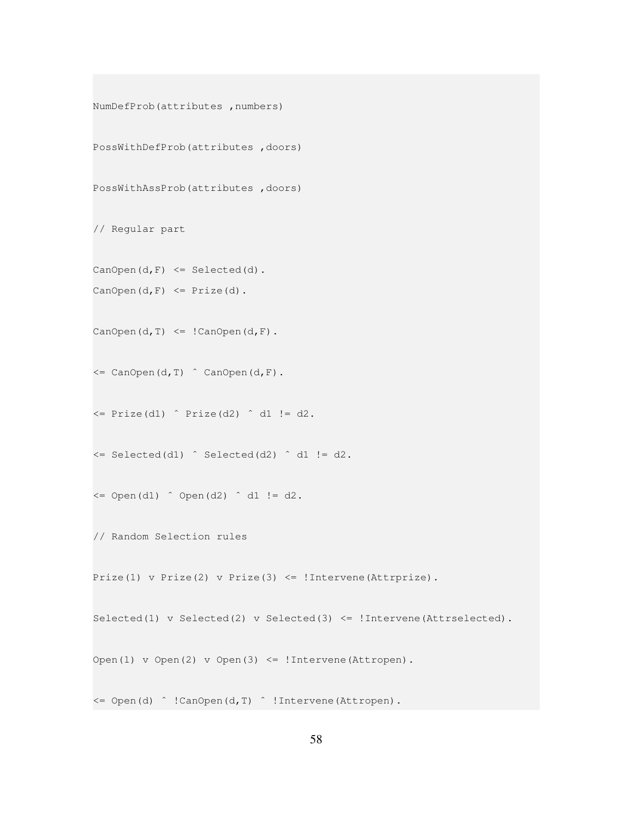```
NumDefProb(attributes ,numbers)
PossWithDefProb(attributes ,doors)
PossWithAssProb(attributes ,doors)
// Regular part
CanOpen(d, F) \leq Selected(d).CanOpen(d, F) \leq Prize(d).
CanOpen(d, T) \leq ! CanOpen(d, F).
\leq CanOpen(d, T) \hat{C} CanOpen(d, F).
\le Prize(d1) \hat{ } Prize(d2) \hat{ } d1 != d2.
\le Selected(d1) \hat{ } Selected(d2) \hat{ } d1 != d2.
\leq Open(d1) \cap Open(d2) \cap d1 != d2.
// Random Selection rules
Prize(1) v Prize(2) v Prize(3) <= !Intervene(Attrprize).
Selected(1) v Selected(2) v Selected(3) <= !Intervene(Attrselected).
Open(1) v Open(2) v Open(3) <= ! Intervene(Attropen).
<= Open(d) ˆ !CanOpen(d,T) ˆ !Intervene(Attropen).
```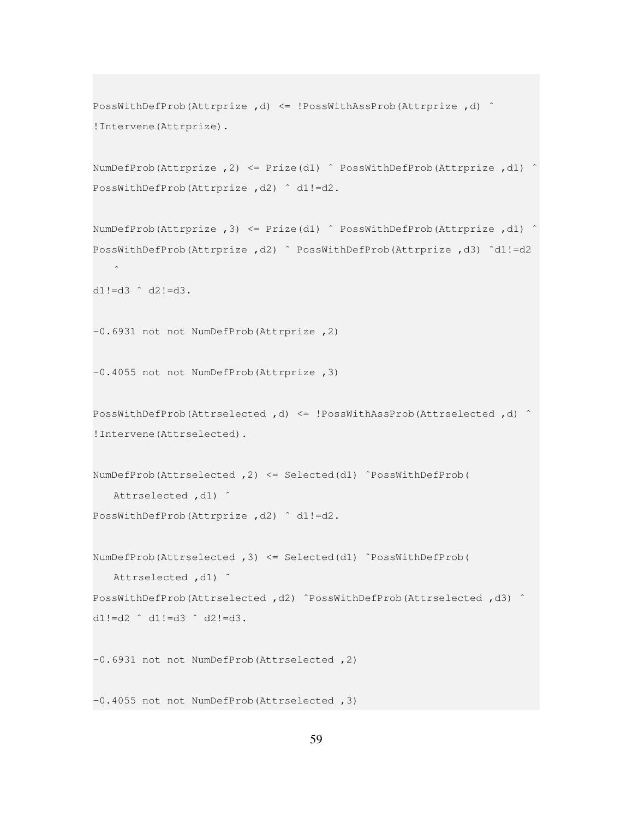```
PossWithDefProb(Attrprize ,d) <= !PossWithAssProb(Attrprize ,d) ˆ
!Intervene(Attrprize).
```

```
NumDefProb(Attrprize ,2) <= Prize(d1) ˆ PossWithDefProb(Attrprize ,d1) ˆ
PossWithDefProb(Attrprize , d2) ^ d1!=d2.
```
NumDefProb(Attrprize ,3) <= Prize(d1) ˆ PossWithDefProb(Attrprize ,d1) ˆ PossWithDefProb(Attrprize ,d2) ˆ PossWithDefProb(Attrprize ,d3) ˆd1!=d2  $\hat{\phantom{a}}$ 

```
d1!=d3 ˆ d2!=d3.
```
-0.6931 not not NumDefProb(Attrprize ,2)

-0.4055 not not NumDefProb(Attrprize ,3)

```
PossWithDefProb(Attrselected ,d) <= !PossWithAssProb(Attrselected ,d) ˆ
!Intervene(Attrselected).
```

```
NumDefProb(Attrselected ,2) <= Selected(d1) ˆPossWithDefProb(
  Attrselected , d1) ^
```
PossWithDefProb(Attrprize , d2) ^ d1!=d2.

```
NumDefProb(Attrselected ,3) <= Selected(d1) ˆPossWithDefProb(
   Attrselected , d1) ^
PossWithDefProb(Attrselected ,d2) ˆPossWithDefProb(Attrselected ,d3) ˆ
```

```
d1!=d2 ˆ d1!=d3 ˆ d2!=d3.
```
-0.6931 not not NumDefProb(Attrselected ,2)

-0.4055 not not NumDefProb(Attrselected ,3)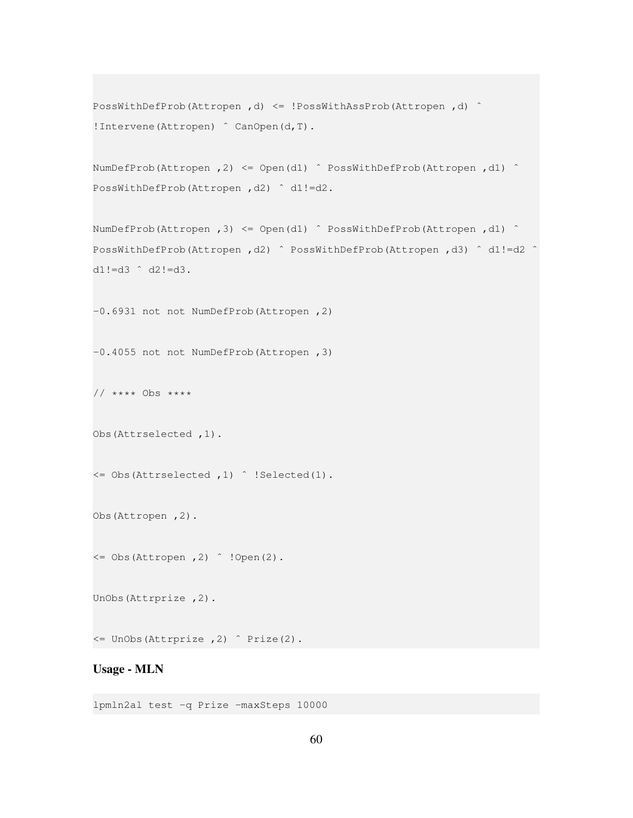```
PossWithDefProb(Attropen ,d) <= !PossWithAssProb(Attropen ,d) ˆ
!Intervene(Attropen) ˆ CanOpen(d,T).
```

```
NumDefProb(Attropen ,2) <= Open(d1) ˆ PossWithDefProb(Attropen ,d1) ˆ
PossWithDefProb(Attropen ,d2) ˆ d1!=d2.
```

```
NumDefProb(Attropen ,3) <= Open(d1) ˆ PossWithDefProb(Attropen ,d1) ˆ
PossWithDefProb(Attropen,d2) ^ PossWithDefProb(Attropen,d3) ^ d1!=d2 ^
d1!=d3 ˆ d2!=d3.
```
-0.6931 not not NumDefProb(Attropen ,2)

-0.4055 not not NumDefProb(Attropen ,3)

// \*\*\*\* Obs \*\*\*\*

Obs(Attrselected ,1).

<= Obs(Attrselected ,1) ˆ !Selected(1).

Obs(Attropen ,2).

<= Obs(Attropen ,2) ˆ !Open(2).

UnObs(Attrprize ,2).

<= UnObs(Attrprize ,2) ˆ Prize(2).

#### Usage - MLN

lpmln2al test -q Prize -maxSteps 10000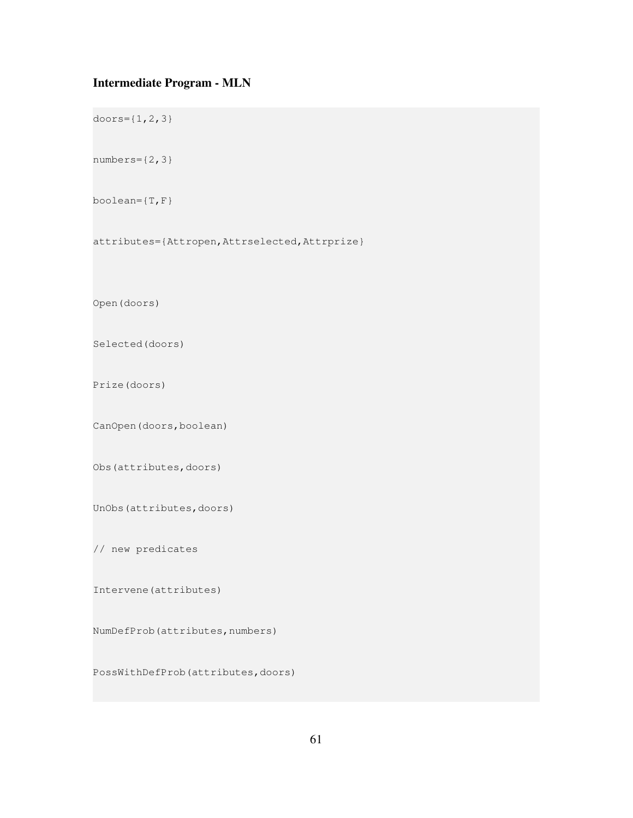# Intermediate Program - MLN

doors={1,2,3}  $numbers={2,3}$ boolean= $\{T, F\}$ attributes={Attropen,Attrselected,Attrprize} Open(doors) Selected(doors) Prize(doors) CanOpen(doors,boolean) Obs(attributes,doors) UnObs(attributes,doors) // new predicates Intervene(attributes) NumDefProb(attributes,numbers)

PossWithDefProb(attributes,doors)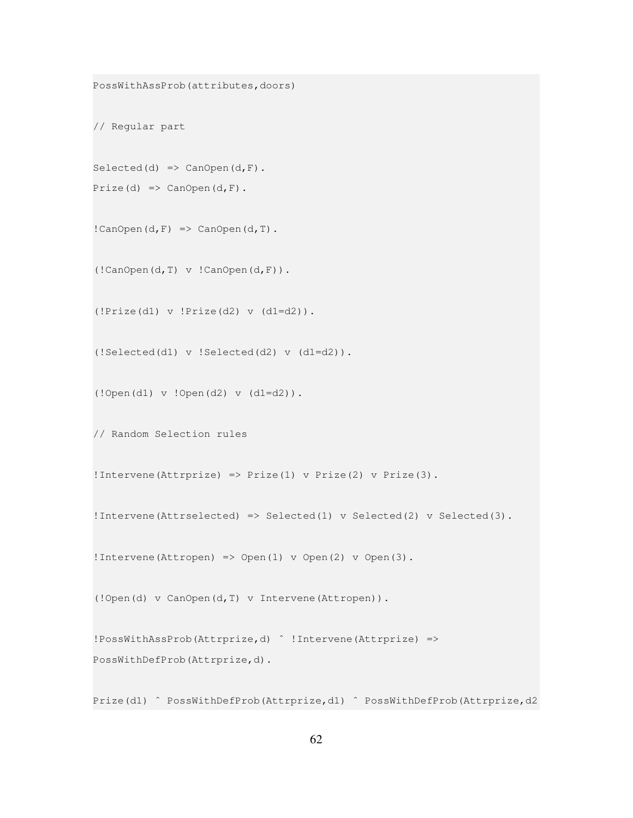```
PossWithAssProb(attributes,doors)
// Regular part
Selected(d) => CanOpen(d, F).
Prize(d) => CanOpen(d,F).
! CanOpen(d, F) => CanOpen(d, T).
(!CanOpen(d,T) v !CanOpen(d,F)).
(!Prize(d1) v !Prize(d2) v (d1=d2)).
(!Selected(d1) v !Selected(d2) v (d1=d2)).
(!Open(d1) v !Open(d2) v (d1=d2)).
// Random Selection rules
!Intervene(Attrprize) => Prize(1) v Prize(2) v Prize(3).
!Intervene(Attrselected) => Selected(1) v Selected(2) v Selected(3).
!Intervene(Attropen) => Open(1) v Open(2) v Open(3).
(!Open(d) v CanOpen(d,T) v Intervene(Attropen)).
!PossWithAssProb(Attrprize,d) ˆ !Intervene(Attrprize) =>
PossWithDefProb(Attrprize,d).
```
Prize(d1) ^ PossWithDefProb(Attrprize,d1) ^ PossWithDefProb(Attrprize,d2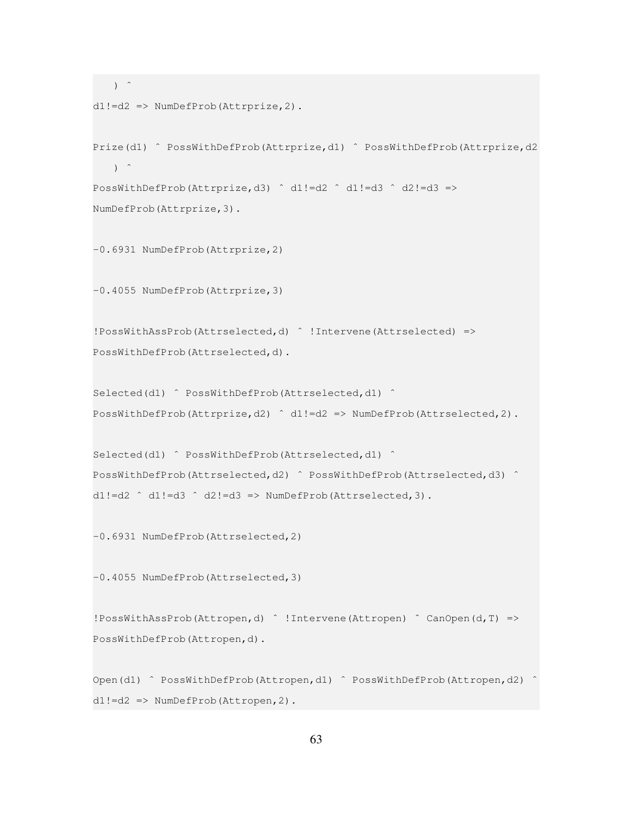```
\left( \begin{array}{cc} \cdot & \cdot \\ \cdot & \cdot \end{array} \right)d1!=d2 => NumDefProb(Attrprize,2).
Prize(d1) ^ PossWithDefProb(Attrprize,d1) ^ PossWithDefProb(Attrprize,d2
   ) \hat{ }PossWithDefProb(Attrprize,d3) ˆ d1!=d2 ˆ d1!=d3 ˆ d2!=d3 =>
NumDefProb(Attrprize,3).
-0.6931 NumDefProb(Attrprize,2)
-0.4055 NumDefProb(Attrprize,3)
!PossWithAssProb(Attrselected,d) ˆ !Intervene(Attrselected) =>
PossWithDefProb(Attrselected,d).
Selected(d1) ^ PossWithDefProb(Attrselected,d1) ^
PossWithDefProb(Attrprize,d2) ˆ d1!=d2 => NumDefProb(Attrselected,2).
Selected(d1) ^ PossWithDefProb(Attrselected,d1) ^
PossWithDefProb(Attrselected,d2) ˆ PossWithDefProb(Attrselected,d3) ˆ
d1!=d2 \hat{d} d1!=d3 \hat{d} d2!=d3 => NumDefProb(Attrselected, 3).
-0.6931 NumDefProb(Attrselected,2)
-0.4055 NumDefProb(Attrselected,3)
!PossWithAssProb(Attropen,d) ˆ !Intervene(Attropen) ˆ CanOpen(d,T) =>
PossWithDefProb(Attropen,d).
Open(d1) ^ PossWithDefProb(Attropen,d1) ^ PossWithDefProb(Attropen,d2) ^
d1!=d2 => NumDefProb(Attropen,2).
```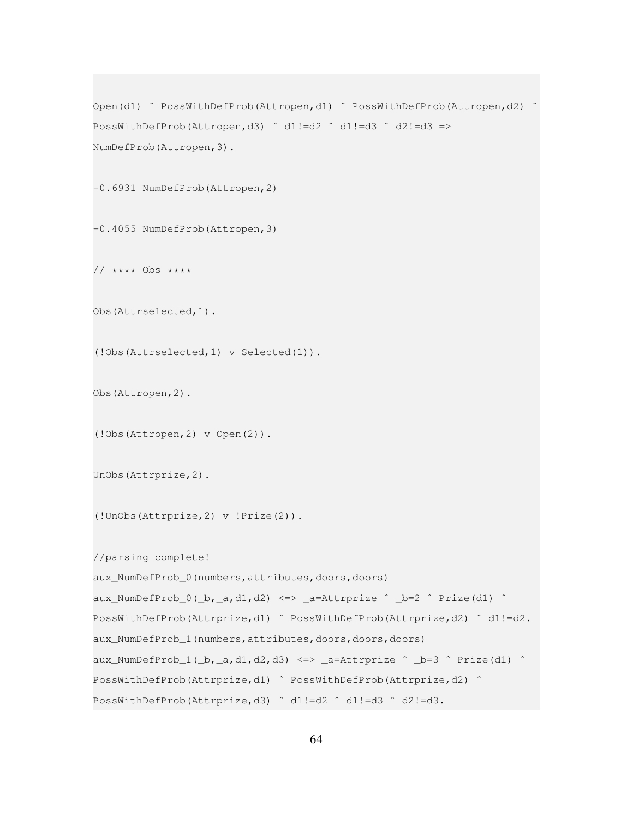```
Open(d1) ^ PossWithDefProb(Attropen,d1) ^ PossWithDefProb(Attropen,d2)
PossWithDefProb(Attropen,d3) ˆ d1!=d2 ˆ d1!=d3 ˆ d2!=d3 =>
NumDefProb(Attropen,3).
-0.6931 NumDefProb(Attropen,2)
-0.4055 NumDefProb(Attropen,3)
// **** Obs ****
Obs(Attrselected,1).
(!Obs(Attrselected,1) v Selected(1)).
Obs(Attropen,2).
(!Obs(Attropen,2) v Open(2)).
UnObs(Attrprize,2).
(!UnObs(Attrprize,2) v !Prize(2)).
//parsing complete!
aux_NumDefProb_0(numbers,attributes,doors,doors)
aux_NumDefProb_0(_b,_a,d1,d2) <=> _a=Attrprize ^ _b=2 ^ Prize(d1) ^
PossWithDefProb(Attrprize,d1) ˆ PossWithDefProb(Attrprize,d2) ˆ d1!=d2.
aux_NumDefProb_1(numbers,attributes,doors,doors,doors)
aux_NumDefProb_1(_b,_a,d1,d2,d3) <=> _a=Attrprize ^ _b=3 ^ Prize(d1) ^
PossWithDefProb(Attrprize,d1) ˆ PossWithDefProb(Attrprize,d2) ˆ
PossWithDefProb(Attrprize,d3) ˆ d1!=d2 ˆ d1!=d3 ˆ d2!=d3.
```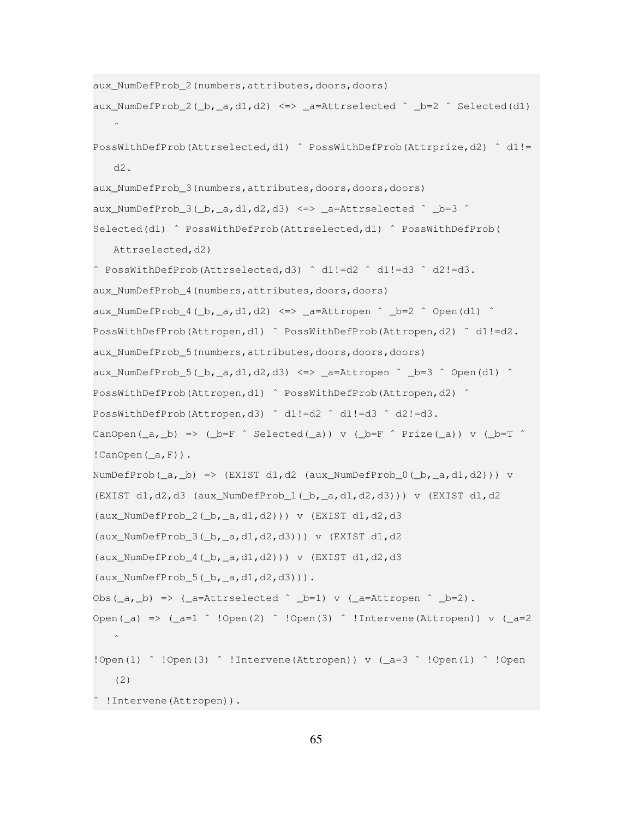```
aux_NumDefProb_2(numbers,attributes,doors,doors)
aux NumDefProb 2(b, a,d1,d2) <=> a=Attrselected \hat{ } b=2 \hat{ } Selected(d1)
   \hat{\phantom{a}}PossWithDefProb(Attrselected,d1) ˆ PossWithDefProb(Attrprize,d2) ˆ d1!=
   d2.
aux_NumDefProb_3(numbers,attributes,doors,doors,doors)
aux_NumDefProb_3(_b,_a,d1,d2,d3) <=> _a=Attrselected \hat{ } _b=3 \hat{ }Selected(d1) ^ PossWithDefProb(Attrselected,d1) ^ PossWithDefProb(
   Attrselected, d2)
ˆ PossWithDefProb(Attrselected,d3) ˆ d1!=d2 ˆ d1!=d3 ˆ d2!=d3.
aux_NumDefProb_4(numbers,attributes,doors,doors)
aux_NumDefProb_4(_b,_a,d1,d2) <=> _a=Attropen ^ _b=2 ^ Open(d1) ^
PossWithDefProb(Attropen,d1) ˆ PossWithDefProb(Attropen,d2) ˆ d1!=d2.
aux_NumDefProb_5(numbers,attributes,doors,doors,doors)
aux_NumDefProb_5(_b,_a,d1,d2,d3) <=> _a=Attropen ^ _b=3 ^ Open(d1) ^
PossWithDefProb(Attropen,d1) ^ PossWithDefProb(Attropen,d2) ^
PossWithDefProb(Attropen,d3) ˆ d1!=d2 ˆ d1!=d3 ˆ d2!=d3.
CanOpen(a, b) => (b = F \hat{ } Selected(a)) v (b = F \hat{ } Prize(a)) v (b = T \hat{ }! CanOpen(\_a, F)).
NumDefProb((a, b) => (EXIST d1,d2 (aux_NumDefProb_0((b, a, d1, d2))) v
(EXIST d1,d2,d3 (aux_NumDefProb_1(_b,_a,d1,d2,d3))) v (EXIST d1,d2
(aux_NumDefProb_2(_b,_a,d1,d2))) v (EXIST d1,d2,d3
(aux_NumbefProb_3(\_b, a, d1, d2, d3)) v (EXIST d1, d2(aux_NumDefProb_4(\_b, a, d1, d2)) v (EXIST d1, d2, d3)(aux_NumDefProb_5(_b,_a,d1,d2,d3))).
Obs(_a,_b) => (_a=Attrselected \hat{ } _b=1) v (_a=Attropen \hat{ } _b=2).
Open(_a) => (_a=1 \hat{ } !Open(2) \hat{ } !Open(3) \hat{ } !Intervene(Attropen)) v (_a=2
   \hat{\phantom{a}}!Open(1) ^ !Open(3) ^ !Intervene(Attropen)) v (_a=3 ^ !Open(1) ^ !Open
   (2)
ˆ !Intervene(Attropen)).
```

```
65
```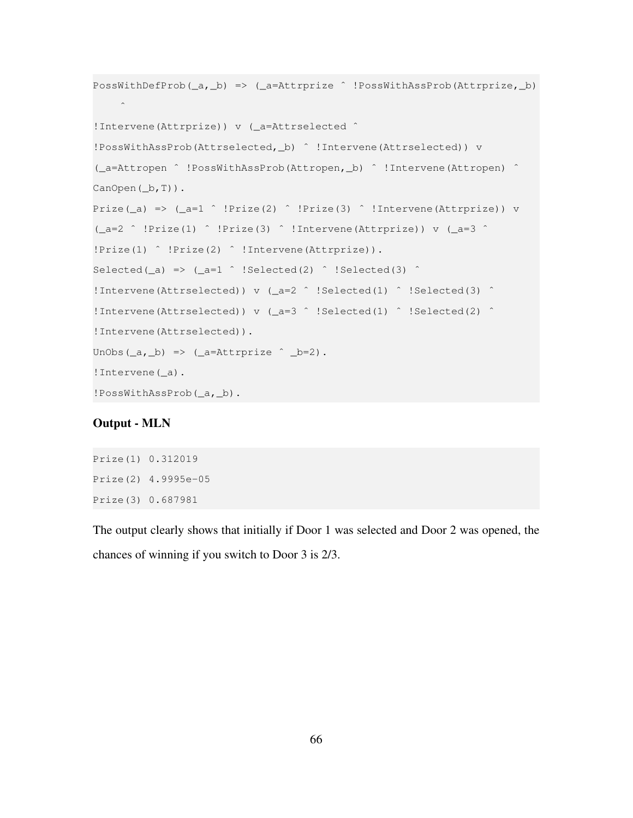```
PossWithDefProb(_a,_b) => (_a=Attrprize ˆ !PossWithAssProb(Attrprize,_b)
     \hat{\phantom{a}}!Intervene(Attrprize)) v (_a=Attrselected ˆ
!PossWithAssProb(Attrselected,_b) ˆ !Intervene(Attrselected)) v
(_a=Attropen ˆ !PossWithAssProb(Attropen,_b) ˆ !Intervene(Attropen) ˆ
CanOpen(\_b,T)).
Prize(_a) => (_a=1 \hat{ } !Prize(2) \hat{ } !Prize(3) \hat{ } !Intervene(Attrprize)) v
(_a=2 ˆ !Prize(1) ˆ !Prize(3) ˆ !Intervene(Attrprize)) v (_a=3 ˆ
!Prize(1) ˆ !Prize(2) ˆ !Intervene(Attrprize)).
Selected(_a) => (_a=1 \hat{ } !Selected(2) \hat{ } !Selected(3) \hat{ }!Intervene(Attrselected)) v (_a=2 ˆ !Selected(1) ˆ !Selected(3) ˆ
!Intervene(Attrselected)) v (_a=3 ˆ !Selected(1) ˆ !Selected(2) ˆ
!Intervene(Attrselected)).
UnObs(\underline{\ }a, \underline{\ }b) => (\underline{\ }a = \lambda ttrprize \hat{\ } \underline{\ }b = 2).
!Intervene(_a).
!PossWithAssProb(_a,_b).
```
#### Output - MLN

Prize(1) 0.312019 Prize(2) 4.9995e-05 Prize(3) 0.687981

The output clearly shows that initially if Door 1 was selected and Door 2 was opened, the chances of winning if you switch to Door 3 is 2/3.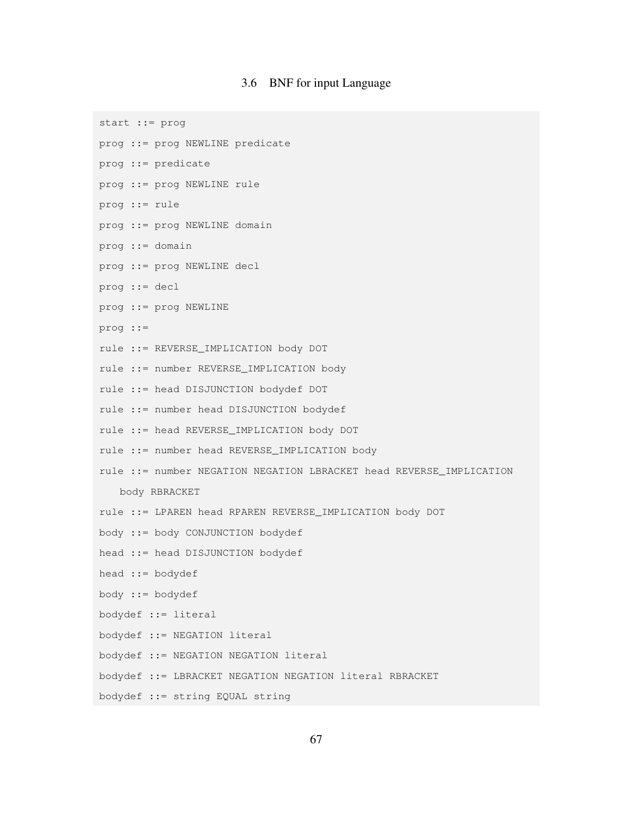#### 3.6 BNF for input Language

<span id="page-68-0"></span>start ::= prog

- prog ::= prog NEWLINE predicate
- prog ::= predicate
- prog ::= prog NEWLINE rule
- prog ::= rule
- prog ::= prog NEWLINE domain
- prog ::= domain
- prog ::= prog NEWLINE decl
- prog ::= decl
- prog ::= prog NEWLINE
- prog ::=
- rule ::= REVERSE\_IMPLICATION body DOT
- rule ::= number REVERSE\_IMPLICATION body
- rule ::= head DISJUNCTION bodydef DOT
- rule ::= number head DISJUNCTION bodydef
- rule ::= head REVERSE\_IMPLICATION body DOT
- rule ::= number head REVERSE\_IMPLICATION body
- rule ::= number NEGATION NEGATION LBRACKET head REVERSE\_IMPLICATION

body RBRACKET

- rule ::= LPAREN head RPAREN REVERSE\_IMPLICATION body DOT
- body ::= body CONJUNCTION bodydef
- head ::= head DISJUNCTION bodydef
- head ::= bodydef
- body ::= bodydef
- bodydef ::= literal
- bodydef ::= NEGATION literal
- bodydef ::= NEGATION NEGATION literal
- bodydef ::= LBRACKET NEGATION NEGATION literal RBRACKET
- bodydef ::= string EQUAL string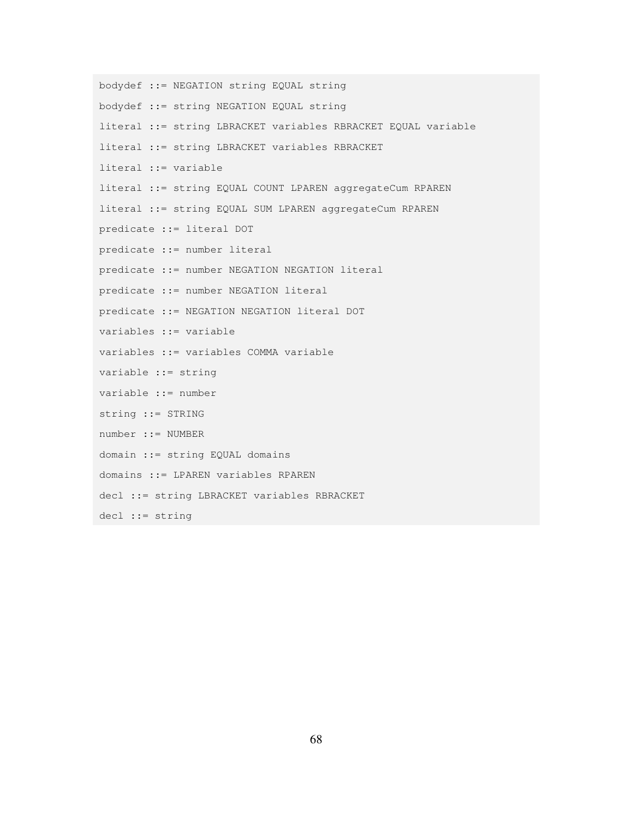```
bodydef ::= NEGATION string EQUAL string
bodydef ::= string NEGATION EQUAL string
literal ::= string LBRACKET variables RBRACKET EQUAL variable
literal ::= string LBRACKET variables RBRACKET
literal ::= variable
literal ::= string EQUAL COUNT LPAREN aggregateCum RPAREN
literal ::= string EQUAL SUM LPAREN aggregateCum RPAREN
predicate ::= literal DOT
predicate ::= number literal
predicate ::= number NEGATION NEGATION literal
predicate ::= number NEGATION literal
predicate ::= NEGATION NEGATION literal DOT
variables ::= variable
variables ::= variables COMMA variable
variable ::= string
variable ::= number
string ::= STRING
number ::= NUMBER
domain ::= string EQUAL domains
domains ::= LPAREN variables RPAREN
decl ::= string LBRACKET variables RBRACKET
decl ::= string
```